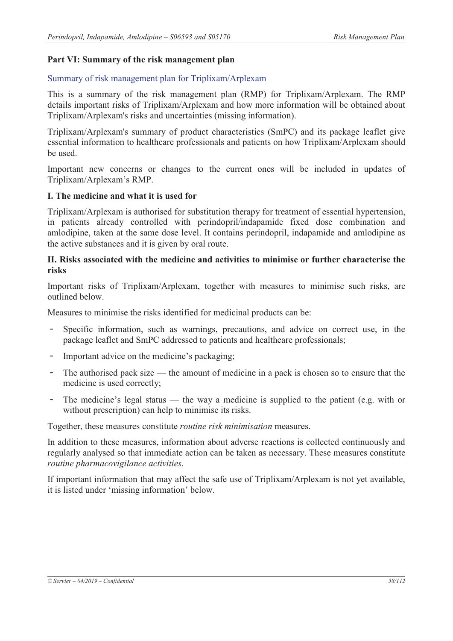#### **Part VI: Summary of the risk management plan**

#### Summary of risk management plan for Triplixam/Arplexam

This is a summary of the risk management plan (RMP) for Triplixam/Arplexam. The RMP details important risks of Triplixam/Arplexam and how more information will be obtained about Triplixam/Arplexam's risks and uncertainties (missing information).

Triplixam/Arplexam's summary of product characteristics (SmPC) and its package leaflet give essential information to healthcare professionals and patients on how Triplixam/Arplexam should be used.

Important new concerns or changes to the current ones will be included in updates of Triplixam/Arplexam's RMP.

#### **I. The medicine and what it is used for**

Triplixam/Arplexam is authorised for substitution therapy for treatment of essential hypertension, in patients already controlled with perindopril/indapamide fixed dose combination and amlodipine, taken at the same dose level. It contains perindopril, indapamide and amlodipine as the active substances and it is given by oral route.

#### **II. Risks associated with the medicine and activities to minimise or further characterise the risks**

Important risks of Triplixam/Arplexam, together with measures to minimise such risks, are outlined below.

Measures to minimise the risks identified for medicinal products can be:

- Specific information, such as warnings, precautions, and advice on correct use, in the package leaflet and SmPC addressed to patients and healthcare professionals;
- Important advice on the medicine's packaging;
- The authorised pack size the amount of medicine in a pack is chosen so to ensure that the medicine is used correctly;
- The medicine's legal status the way a medicine is supplied to the patient (e.g. with or without prescription) can help to minimise its risks.

Together, these measures constitute *routine risk minimisation* measures.

In addition to these measures, information about adverse reactions is collected continuously and regularly analysed so that immediate action can be taken as necessary. These measures constitute *routine pharmacovigilance activities*.

If important information that may affect the safe use of Triplixam/Arplexam is not yet available, it is listed under 'missing information' below.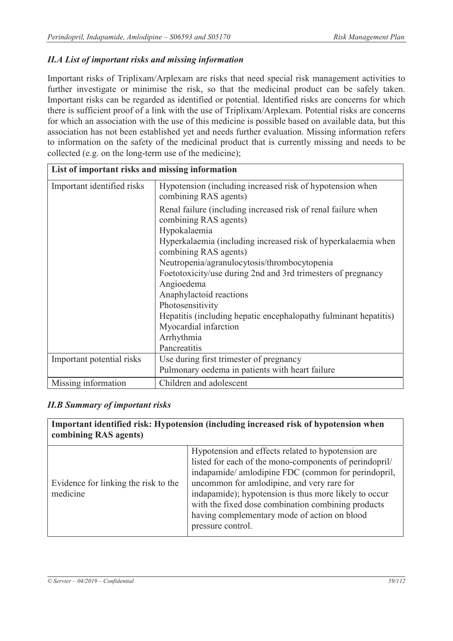# *II.A List of important risks and missing information*

Important risks of Triplixam/Arplexam are risks that need special risk management activities to further investigate or minimise the risk, so that the medicinal product can be safely taken. Important risks can be regarded as identified or potential. Identified risks are concerns for which there is sufficient proof of a link with the use of Triplixam/Arplexam. Potential risks are concerns for which an association with the use of this medicine is possible based on available data, but this association has not been established yet and needs further evaluation. Missing information refers to information on the safety of the medicinal product that is currently missing and needs to be collected (e.g. on the long-term use of the medicine);

| List of important risks and missing information |                                                                                        |
|-------------------------------------------------|----------------------------------------------------------------------------------------|
| Important identified risks                      | Hypotension (including increased risk of hypotension when<br>combining RAS agents)     |
|                                                 | Renal failure (including increased risk of renal failure when<br>combining RAS agents) |
|                                                 | Hypokalaemia                                                                           |
|                                                 | Hyperkalaemia (including increased risk of hyperkalaemia when<br>combining RAS agents) |
|                                                 | Neutropenia/agranulocytosis/thrombocytopenia                                           |
|                                                 | Foetotoxicity/use during 2nd and 3rd trimesters of pregnancy                           |
|                                                 | Angioedema                                                                             |
|                                                 | Anaphylactoid reactions                                                                |
|                                                 | Photosensitivity                                                                       |
|                                                 | Hepatitis (including hepatic encephalopathy fulminant hepatitis)                       |
|                                                 | Myocardial infarction                                                                  |
|                                                 | Arrhythmia                                                                             |
|                                                 | Pancreatitis                                                                           |
| Important potential risks                       | Use during first trimester of pregnancy                                                |
|                                                 | Pulmonary oedema in patients with heart failure                                        |
| Missing information                             | Children and adolescent                                                                |

## *II.B Summary of important risks*

| combining RAS agents)                            | Important identified risk: Hypotension (including increased risk of hypotension when                                                                                                                                                                                                                                                                                                                  |
|--------------------------------------------------|-------------------------------------------------------------------------------------------------------------------------------------------------------------------------------------------------------------------------------------------------------------------------------------------------------------------------------------------------------------------------------------------------------|
| Evidence for linking the risk to the<br>medicine | Hypotension and effects related to hypotension are<br>listed for each of the mono-components of perindopril/<br>indapamide/ amlodipine FDC (common for perindopril,<br>uncommon for amlodipine, and very rare for<br>indapamide); hypotension is thus more likely to occur<br>with the fixed dose combination combining products<br>having complementary mode of action on blood<br>pressure control. |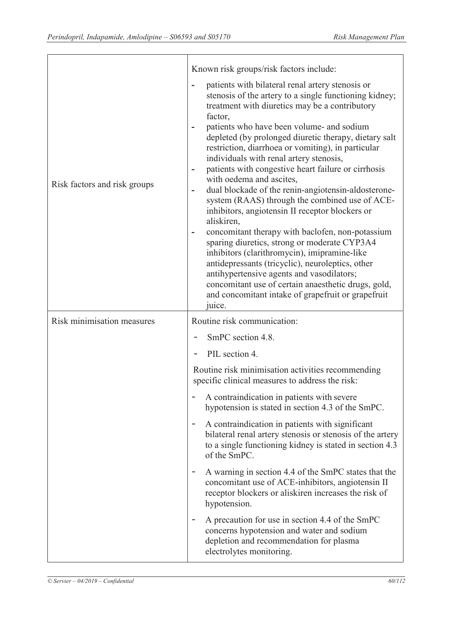|                              | Known risk groups/risk factors include:                                                                                                                                                                                                                                                                                                                                                                                                                                                                                                                                                                                                                                                                                                                                                                                                                                                                                                                                                                                                        |
|------------------------------|------------------------------------------------------------------------------------------------------------------------------------------------------------------------------------------------------------------------------------------------------------------------------------------------------------------------------------------------------------------------------------------------------------------------------------------------------------------------------------------------------------------------------------------------------------------------------------------------------------------------------------------------------------------------------------------------------------------------------------------------------------------------------------------------------------------------------------------------------------------------------------------------------------------------------------------------------------------------------------------------------------------------------------------------|
| Risk factors and risk groups | patients with bilateral renal artery stenosis or<br>stenosis of the artery to a single functioning kidney;<br>treatment with diuretics may be a contributory<br>factor,<br>patients who have been volume- and sodium<br>depleted (by prolonged diuretic therapy, dietary salt<br>restriction, diarrhoea or vomiting), in particular<br>individuals with renal artery stenosis,<br>patients with congestive heart failure or cirrhosis<br>٠<br>with oedema and ascites,<br>dual blockade of the renin-angiotensin-aldosterone-<br>$\overline{a}$<br>system (RAAS) through the combined use of ACE-<br>inhibitors, angiotensin II receptor blockers or<br>aliskiren,<br>concomitant therapy with baclofen, non-potassium<br>sparing diuretics, strong or moderate CYP3A4<br>inhibitors (clarithromycin), imipramine-like<br>antidepressants (tricyclic), neuroleptics, other<br>antihypertensive agents and vasodilators;<br>concomitant use of certain anaesthetic drugs, gold,<br>and concomitant intake of grapefruit or grapefruit<br>juice. |
| Risk minimisation measures   | Routine risk communication:                                                                                                                                                                                                                                                                                                                                                                                                                                                                                                                                                                                                                                                                                                                                                                                                                                                                                                                                                                                                                    |
|                              | SmPC section 4.8.                                                                                                                                                                                                                                                                                                                                                                                                                                                                                                                                                                                                                                                                                                                                                                                                                                                                                                                                                                                                                              |
|                              | PIL section 4.                                                                                                                                                                                                                                                                                                                                                                                                                                                                                                                                                                                                                                                                                                                                                                                                                                                                                                                                                                                                                                 |
|                              | Routine risk minimisation activities recommending<br>specific clinical measures to address the risk:                                                                                                                                                                                                                                                                                                                                                                                                                                                                                                                                                                                                                                                                                                                                                                                                                                                                                                                                           |
|                              | A contraindication in patients with severe<br>hypotension is stated in section 4.3 of the SmPC.                                                                                                                                                                                                                                                                                                                                                                                                                                                                                                                                                                                                                                                                                                                                                                                                                                                                                                                                                |
|                              | A contraindication in patients with significant<br>bilateral renal artery stenosis or stenosis of the artery<br>to a single functioning kidney is stated in section 4.3<br>of the SmPC.                                                                                                                                                                                                                                                                                                                                                                                                                                                                                                                                                                                                                                                                                                                                                                                                                                                        |
|                              | A warning in section 4.4 of the SmPC states that the<br>$\overline{\phantom{a}}$<br>concomitant use of ACE-inhibitors, angiotensin II<br>receptor blockers or aliskiren increases the risk of<br>hypotension.                                                                                                                                                                                                                                                                                                                                                                                                                                                                                                                                                                                                                                                                                                                                                                                                                                  |
|                              | A precaution for use in section 4.4 of the SmPC<br>concerns hypotension and water and sodium<br>depletion and recommendation for plasma                                                                                                                                                                                                                                                                                                                                                                                                                                                                                                                                                                                                                                                                                                                                                                                                                                                                                                        |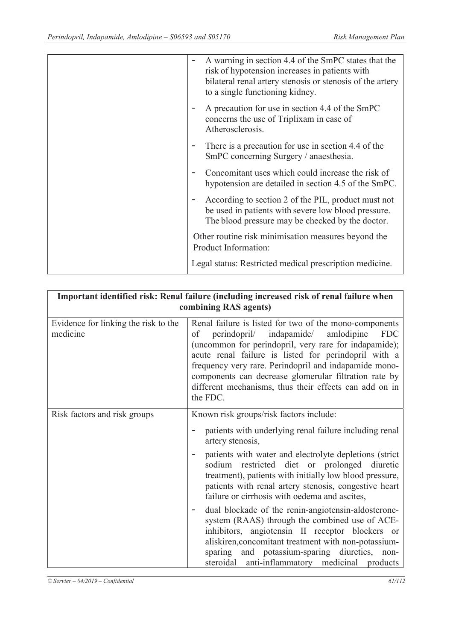| A warning in section 4.4 of the SmPC states that the<br>$\equiv$<br>risk of hypotension increases in patients with<br>bilateral renal artery stenosis or stenosis of the artery<br>to a single functioning kidney. |
|--------------------------------------------------------------------------------------------------------------------------------------------------------------------------------------------------------------------|
| A precaution for use in section 4.4 of the SmPC<br>concerns the use of Triplixam in case of<br>Atherosclerosis.                                                                                                    |
| There is a precaution for use in section 4.4 of the<br>SmPC concerning Surgery / anaesthesia.                                                                                                                      |
| Concomitant uses which could increase the risk of<br>hypotension are detailed in section 4.5 of the SmPC.                                                                                                          |
| According to section 2 of the PIL, product must not<br>be used in patients with severe low blood pressure.<br>The blood pressure may be checked by the doctor.                                                     |
| Other routine risk minimisation measures beyond the<br>Product Information:                                                                                                                                        |
| Legal status: Restricted medical prescription medicine.                                                                                                                                                            |

| Important identified risk: Renal failure (including increased risk of renal failure when<br>combining RAS agents) |                                                                                                                                                                                                                                                                                                                                                                                                                               |  |
|-------------------------------------------------------------------------------------------------------------------|-------------------------------------------------------------------------------------------------------------------------------------------------------------------------------------------------------------------------------------------------------------------------------------------------------------------------------------------------------------------------------------------------------------------------------|--|
| Evidence for linking the risk to the<br>medicine                                                                  | Renal failure is listed for two of the mono-components<br>perindopril/ indapamide/<br>amlodipine<br><b>FDC</b><br>of<br>(uncommon for perindopril, very rare for indapamide);<br>acute renal failure is listed for perindopril with a<br>frequency very rare. Perindopril and indapamide mono-<br>components can decrease glomerular filtration rate by<br>different mechanisms, thus their effects can add on in<br>the FDC. |  |
| Risk factors and risk groups                                                                                      | Known risk groups/risk factors include:<br>patients with underlying renal failure including renal<br>artery stenosis,                                                                                                                                                                                                                                                                                                         |  |
|                                                                                                                   | patients with water and electrolyte depletions (strict<br>sodium restricted diet or prolonged diuretic<br>treatment), patients with initially low blood pressure,<br>patients with renal artery stenosis, congestive heart<br>failure or cirrhosis with oedema and ascites,                                                                                                                                                   |  |
|                                                                                                                   | dual blockade of the renin-angiotensin-aldosterone-<br>system (RAAS) through the combined use of ACE-<br>inhibitors, angiotensin II receptor blockers or<br>aliskiren, concomitant treatment with non-potassium-<br>sparing and potassium-sparing diuretics, non-<br>steroidal anti-inflammatory medicinal products                                                                                                           |  |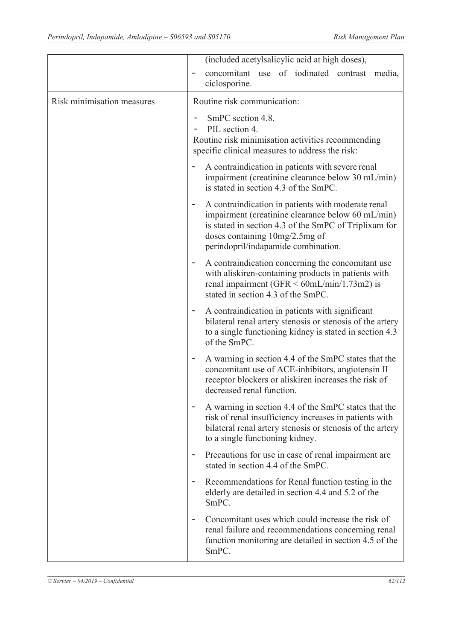|                            | (included acetylsalicylic acid at high doses),                                                                                                                                                                                                 |
|----------------------------|------------------------------------------------------------------------------------------------------------------------------------------------------------------------------------------------------------------------------------------------|
|                            | concomitant use of iodinated contrast<br>media,<br>ciclosporine.                                                                                                                                                                               |
| Risk minimisation measures | Routine risk communication:                                                                                                                                                                                                                    |
|                            | SmPC section 4.8.<br>PIL section 4.<br>Routine risk minimisation activities recommending<br>specific clinical measures to address the risk:                                                                                                    |
|                            | A contraindication in patients with severe renal<br>impairment (creatinine clearance below 30 mL/min)<br>is stated in section 4.3 of the SmPC.                                                                                                 |
|                            | A contraindication in patients with moderate renal<br>۰<br>impairment (creatinine clearance below 60 mL/min)<br>is stated in section 4.3 of the SmPC of Triplixam for<br>doses containing 10mg/2.5mg of<br>perindopril/indapamide combination. |
|                            | A contraindication concerning the concomitant use<br>with aliskiren-containing products in patients with<br>renal impairment (GFR $\leq 60$ mL/min/1.73m2) is<br>stated in section 4.3 of the SmPC.                                            |
|                            | A contraindication in patients with significant<br>bilateral renal artery stenosis or stenosis of the artery<br>to a single functioning kidney is stated in section 4.3<br>of the SmPC.                                                        |
|                            | A warning in section 4.4 of the SmPC states that the<br>concomitant use of ACE-inhibitors, angiotensin II<br>receptor blockers or aliskiren increases the risk of<br>decreased renal function.                                                 |
|                            | A warning in section 4.4 of the SmPC states that the<br>risk of renal insufficiency increases in patients with<br>bilateral renal artery stenosis or stenosis of the artery<br>to a single functioning kidney.                                 |
|                            | Precautions for use in case of renal impairment are<br>stated in section 4.4 of the SmPC.                                                                                                                                                      |
|                            | Recommendations for Renal function testing in the<br>elderly are detailed in section 4.4 and 5.2 of the<br>SmPC.                                                                                                                               |
|                            | Concomitant uses which could increase the risk of<br>renal failure and recommendations concerning renal<br>function monitoring are detailed in section 4.5 of the<br>SmPC.                                                                     |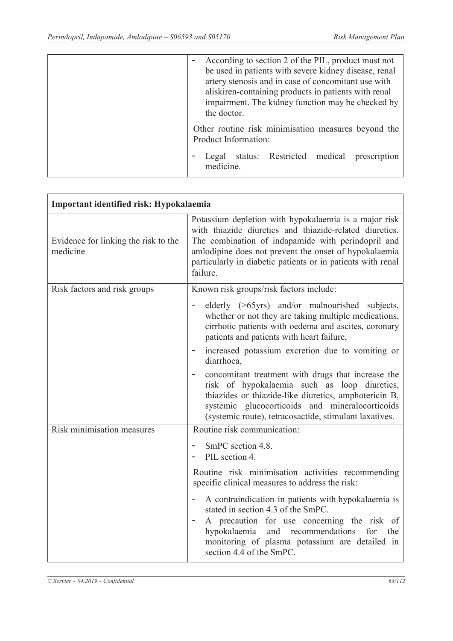|  | the doctor. |                      | According to section 2 of the PIL, product must not<br>artery stenosis and in case of concomitant use with<br>aliskiren-containing products in patients with renal | be used in patients with severe kidney disease, renal<br>impairment. The kidney function may be checked by |
|--|-------------|----------------------|--------------------------------------------------------------------------------------------------------------------------------------------------------------------|------------------------------------------------------------------------------------------------------------|
|  |             | Product Information: |                                                                                                                                                                    | Other routine risk minimisation measures beyond the                                                        |
|  | medicine.   |                      | Legal status: Restricted medical                                                                                                                                   | prescription                                                                                               |

| Important identified risk: Hypokalaemia          |                                                                                                                                                                                                                                                                                                            |
|--------------------------------------------------|------------------------------------------------------------------------------------------------------------------------------------------------------------------------------------------------------------------------------------------------------------------------------------------------------------|
| Evidence for linking the risk to the<br>medicine | Potassium depletion with hypokalaemia is a major risk<br>with thiazide diuretics and thiazide-related diuretics.<br>The combination of indapamide with perindopril and<br>amlodipine does not prevent the onset of hypokalaemia<br>particularly in diabetic patients or in patients with renal<br>failure. |
| Risk factors and risk groups                     | Known risk groups/risk factors include:                                                                                                                                                                                                                                                                    |
|                                                  | elderly (>65yrs) and/or malnourished subjects,<br>whether or not they are taking multiple medications,<br>cirrhotic patients with oedema and ascites, coronary<br>patients and patients with heart failure,                                                                                                |
|                                                  | increased potassium excretion due to vomiting or<br>diarrhoea,                                                                                                                                                                                                                                             |
|                                                  | concomitant treatment with drugs that increase the<br>risk of hypokalaemia such as loop diuretics,<br>thiazides or thiazide-like diuretics, amphotericin B,<br>systemic glucocorticoids and mineralocorticoids<br>(systemic route), tetracosactide, stimulant laxatives.                                   |
| Risk minimisation measures                       | Routine risk communication:                                                                                                                                                                                                                                                                                |
|                                                  | SmPC section 4.8.<br>PIL section 4.                                                                                                                                                                                                                                                                        |
|                                                  | Routine risk minimisation activities recommending<br>specific clinical measures to address the risk:                                                                                                                                                                                                       |
|                                                  | A contraindication in patients with hypokalaemia is<br>stated in section 4.3 of the SmPC.<br>A precaution for use concerning the risk of<br>recommendations<br>hypokalaemia<br>and<br>for<br>the<br>monitoring of plasma potassium are detailed in<br>section 4.4 of the SmPC.                             |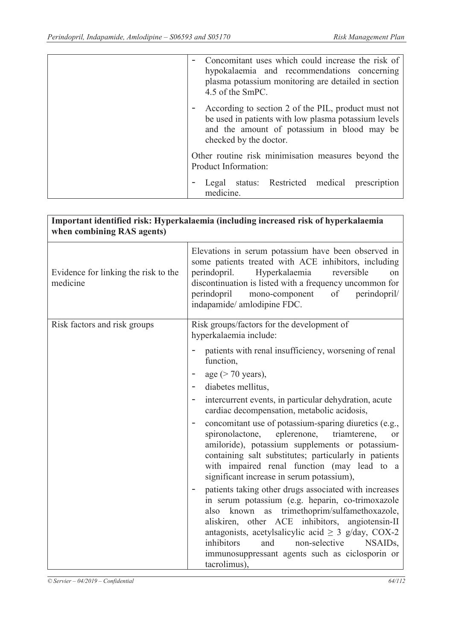| Concomitant uses which could increase the risk of<br>hypokalaemia and recommendations concerning<br>plasma potassium monitoring are detailed in section<br>4.5 of the SmPC.          |
|--------------------------------------------------------------------------------------------------------------------------------------------------------------------------------------|
| According to section 2 of the PIL, product must not<br>be used in patients with low plasma potassium levels<br>and the amount of potassium in blood may be<br>checked by the doctor. |
| Other routine risk minimisation measures beyond the<br>Product Information:                                                                                                          |
| Legal status: Restricted medical prescription<br>medicine.                                                                                                                           |

| when combining RAS agents)                       | Important identified risk: Hyperkalaemia (including increased risk of hyperkalaemia                                                                                                                                                                                                                                                                |
|--------------------------------------------------|----------------------------------------------------------------------------------------------------------------------------------------------------------------------------------------------------------------------------------------------------------------------------------------------------------------------------------------------------|
| Evidence for linking the risk to the<br>medicine | Elevations in serum potassium have been observed in<br>some patients treated with ACE inhibitors, including<br>perindopril.<br>Hyperkalaemia<br>reversible<br>on<br>discontinuation is listed with a frequency uncommon for<br>perindopril<br>of<br>perindopril/<br>mono-component<br>indapamide/ amlodipine FDC.                                  |
| Risk factors and risk groups                     | Risk groups/factors for the development of<br>hyperkalaemia include:                                                                                                                                                                                                                                                                               |
|                                                  | patients with renal insufficiency, worsening of renal<br>function,                                                                                                                                                                                                                                                                                 |
|                                                  | age $($ > 70 years),                                                                                                                                                                                                                                                                                                                               |
|                                                  | diabetes mellitus,                                                                                                                                                                                                                                                                                                                                 |
|                                                  | intercurrent events, in particular dehydration, acute<br>cardiac decompensation, metabolic acidosis,                                                                                                                                                                                                                                               |
|                                                  | concomitant use of potassium-sparing diuretics (e.g.,<br>$\qquad \qquad -$<br>spironolactone,<br>eplerenone, triamterene,<br><sub>or</sub><br>amiloride), potassium supplements or potassium-<br>containing salt substitutes; particularly in patients<br>with impaired renal function (may lead to a<br>significant increase in serum potassium), |
|                                                  | patients taking other drugs associated with increases<br>in serum potassium (e.g. heparin, co-trimoxazole<br>known as trimethoprim/sulfamethoxazole,<br>also<br>aliskiren, other ACE inhibitors, angiotensin-II                                                                                                                                    |
|                                                  | antagonists, acetylsalicylic acid $\geq$ 3 g/day, COX-2<br>inhibitors<br>non-selective<br>and<br>NSAID <sub>s</sub> ,                                                                                                                                                                                                                              |
|                                                  | immunosuppressant agents such as ciclosporin or<br>tacrolimus),                                                                                                                                                                                                                                                                                    |
|                                                  |                                                                                                                                                                                                                                                                                                                                                    |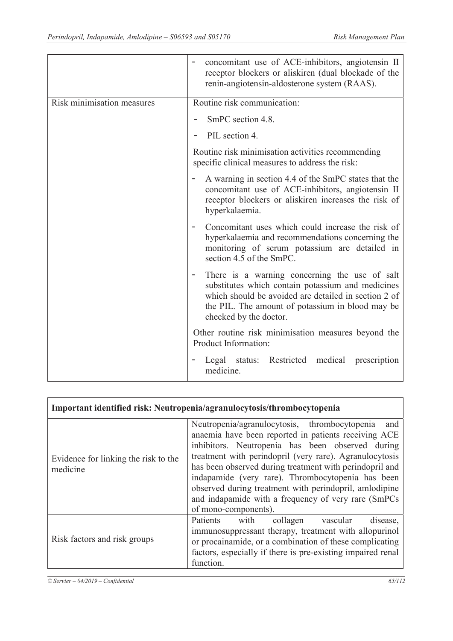|                            | concomitant use of ACE-inhibitors, angiotensin II<br>receptor blockers or aliskiren (dual blockade of the<br>renin-angiotensin-aldosterone system (RAAS).                                                                                |
|----------------------------|------------------------------------------------------------------------------------------------------------------------------------------------------------------------------------------------------------------------------------------|
| Risk minimisation measures | Routine risk communication:                                                                                                                                                                                                              |
|                            | SmPC section 4.8.                                                                                                                                                                                                                        |
|                            | PIL section 4.                                                                                                                                                                                                                           |
|                            | Routine risk minimisation activities recommending<br>specific clinical measures to address the risk:                                                                                                                                     |
|                            | A warning in section 4.4 of the SmPC states that the<br>concomitant use of ACE-inhibitors, angiotensin II<br>receptor blockers or aliskiren increases the risk of<br>hyperkalaemia.                                                      |
|                            | Concomitant uses which could increase the risk of<br>hyperkalaemia and recommendations concerning the<br>monitoring of serum potassium are detailed in<br>section 4.5 of the SmPC.                                                       |
|                            | There is a warning concerning the use of salt<br>substitutes which contain potassium and medicines<br>which should be avoided are detailed in section 2 of<br>the PIL. The amount of potassium in blood may be<br>checked by the doctor. |
|                            | Other routine risk minimisation measures beyond the<br>Product Information:                                                                                                                                                              |
|                            | Restricted medical prescription<br>Legal status:<br>medicine.                                                                                                                                                                            |

|                                                  | Important identified risk: Neutropenia/agranulocytosis/thrombocytopenia                                                                                                                                                                                                                                                                                                                                                                                                               |
|--------------------------------------------------|---------------------------------------------------------------------------------------------------------------------------------------------------------------------------------------------------------------------------------------------------------------------------------------------------------------------------------------------------------------------------------------------------------------------------------------------------------------------------------------|
| Evidence for linking the risk to the<br>medicine | Neutropenia/agranulocytosis, thrombocytopenia<br>and<br>anaemia have been reported in patients receiving ACE<br>inhibitors. Neutropenia has been observed during<br>treatment with perindopril (very rare). Agranulocytosis<br>has been observed during treatment with perindopril and<br>indapamide (very rare). Thrombocytopenia has been<br>observed during treatment with perindopril, amlodipine<br>and indapamide with a frequency of very rare (SmPCs)<br>of mono-components). |
| Risk factors and risk groups                     | Patients with collagen vascular<br>disease,<br>immunosuppressant therapy, treatment with allopurinol<br>or procainamide, or a combination of these complicating<br>factors, especially if there is pre-existing impaired renal<br>function.                                                                                                                                                                                                                                           |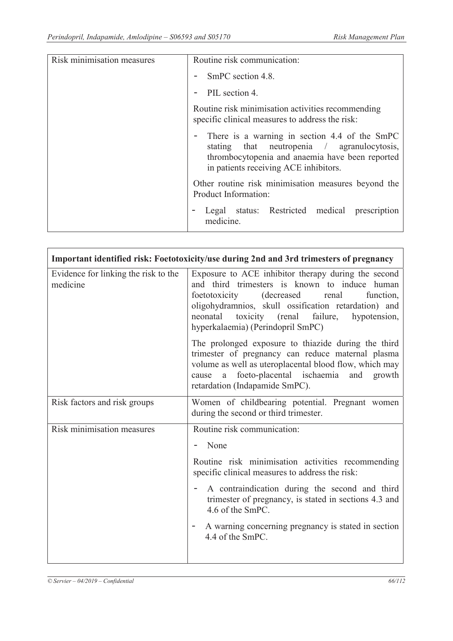| Risk minimisation measures | Routine risk communication:                                                                                                                                                                |
|----------------------------|--------------------------------------------------------------------------------------------------------------------------------------------------------------------------------------------|
|                            | SmPC section 4.8.                                                                                                                                                                          |
|                            | PIL section 4.                                                                                                                                                                             |
|                            | Routine risk minimisation activities recommending<br>specific clinical measures to address the risk:                                                                                       |
|                            | - There is a warning in section 4.4 of the SmPC<br>stating that neutropenia / agranulocytosis,<br>thrombocytopenia and anaemia have been reported<br>in patients receiving ACE inhibitors. |
|                            | Other routine risk minimisation measures beyond the<br>Product Information:                                                                                                                |
|                            | Legal status: Restricted medical<br>prescription<br>medicine.                                                                                                                              |

| Important identified risk: Foetotoxicity/use during 2nd and 3rd trimesters of pregnancy |                                                                                                                                                                                                                                                                                                                |  |
|-----------------------------------------------------------------------------------------|----------------------------------------------------------------------------------------------------------------------------------------------------------------------------------------------------------------------------------------------------------------------------------------------------------------|--|
| Evidence for linking the risk to the<br>medicine                                        | Exposure to ACE inhibitor therapy during the second<br>and third trimesters is known to induce human<br>foetotoxicity (decreased<br>renal<br>function,<br>oligohydramnios, skull ossification retardation) and<br>toxicity (renal<br>failure,<br>neonatal<br>hypotension,<br>hyperkalaemia) (Perindopril SmPC) |  |
|                                                                                         | The prolonged exposure to thiazide during the third<br>trimester of pregnancy can reduce maternal plasma<br>volume as well as uteroplacental blood flow, which may<br>foeto-placental ischaemia and<br>growth<br>a<br>cause<br>retardation (Indapamide SmPC).                                                  |  |
| Risk factors and risk groups                                                            | Women of childbearing potential. Pregnant women<br>during the second or third trimester.                                                                                                                                                                                                                       |  |
| Risk minimisation measures                                                              | Routine risk communication:                                                                                                                                                                                                                                                                                    |  |
|                                                                                         | None                                                                                                                                                                                                                                                                                                           |  |
|                                                                                         | Routine risk minimisation activities recommending<br>specific clinical measures to address the risk:                                                                                                                                                                                                           |  |
|                                                                                         | A contraindication during the second and third<br>trimester of pregnancy, is stated in sections 4.3 and<br>4.6 of the SmPC.                                                                                                                                                                                    |  |
|                                                                                         | A warning concerning pregnancy is stated in section<br>4.4 of the SmPC.                                                                                                                                                                                                                                        |  |
|                                                                                         |                                                                                                                                                                                                                                                                                                                |  |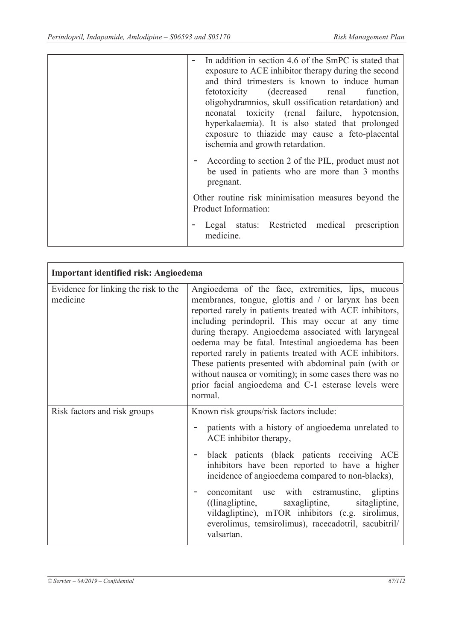| In addition in section 4.6 of the SmPC is stated that<br>exposure to ACE inhibitor therapy during the second<br>and third trimesters is known to induce human<br>fetotoxicity (decreased renal function,<br>oligohydramnios, skull ossification retardation) and<br>neonatal toxicity (renal failure, hypotension,<br>hyperkalaemia). It is also stated that prolonged<br>exposure to thiazide may cause a feto-placental<br>ischemia and growth retardation.<br>- According to section 2 of the PIL, product must not<br>be used in patients who are more than 3 months |
|--------------------------------------------------------------------------------------------------------------------------------------------------------------------------------------------------------------------------------------------------------------------------------------------------------------------------------------------------------------------------------------------------------------------------------------------------------------------------------------------------------------------------------------------------------------------------|
| pregnant.                                                                                                                                                                                                                                                                                                                                                                                                                                                                                                                                                                |
| Other routine risk minimisation measures beyond the<br>Product Information:                                                                                                                                                                                                                                                                                                                                                                                                                                                                                              |
| Legal status: Restricted medical prescription<br>medicine.                                                                                                                                                                                                                                                                                                                                                                                                                                                                                                               |

| Important identified risk: Angioedema            |                                                                                                                                                                                                                                                                                                                                                                                                                                                                                                                                                                                             |  |  |  |
|--------------------------------------------------|---------------------------------------------------------------------------------------------------------------------------------------------------------------------------------------------------------------------------------------------------------------------------------------------------------------------------------------------------------------------------------------------------------------------------------------------------------------------------------------------------------------------------------------------------------------------------------------------|--|--|--|
| Evidence for linking the risk to the<br>medicine | Angioedema of the face, extremities, lips, mucous<br>membranes, tongue, glottis and / or larynx has been<br>reported rarely in patients treated with ACE inhibitors,<br>including perindopril. This may occur at any time<br>during therapy. Angioedema associated with laryngeal<br>oedema may be fatal. Intestinal angioedema has been<br>reported rarely in patients treated with ACE inhibitors.<br>These patients presented with abdominal pain (with or<br>without nausea or vomiting); in some cases there was no<br>prior facial angioedema and C-1 esterase levels were<br>normal. |  |  |  |
| Risk factors and risk groups                     | Known risk groups/risk factors include:<br>patients with a history of angioedema unrelated to<br>ACE inhibitor therapy,<br>black patients (black patients receiving ACE<br>inhibitors have been reported to have a higher<br>incidence of angioedema compared to non-blacks),<br>concomitant use with estramustine, gliptins<br>sitagliptine,<br>saxagliptine,<br>$($ linagliptine,<br>vildagliptine), mTOR inhibitors (e.g. sirolimus,<br>everolimus, temsirolimus), racecadotril, sacubitril/<br>valsartan.                                                                               |  |  |  |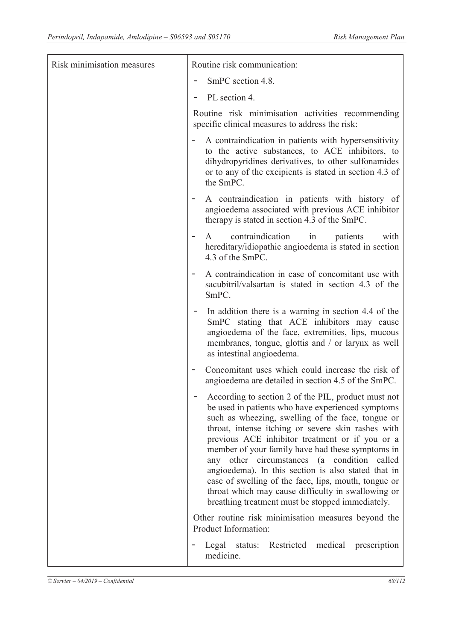| Risk minimisation measures | Routine risk communication:                                                                                                                                                                                                                                                                                                                                                                                                                                                                                                                                                                        |
|----------------------------|----------------------------------------------------------------------------------------------------------------------------------------------------------------------------------------------------------------------------------------------------------------------------------------------------------------------------------------------------------------------------------------------------------------------------------------------------------------------------------------------------------------------------------------------------------------------------------------------------|
|                            | SmPC section 4.8.                                                                                                                                                                                                                                                                                                                                                                                                                                                                                                                                                                                  |
|                            | PL section 4.                                                                                                                                                                                                                                                                                                                                                                                                                                                                                                                                                                                      |
|                            | Routine risk minimisation activities recommending<br>specific clinical measures to address the risk:                                                                                                                                                                                                                                                                                                                                                                                                                                                                                               |
|                            | A contraindication in patients with hypersensitivity<br>to the active substances, to ACE inhibitors, to<br>dihydropyridines derivatives, to other sulfonamides<br>or to any of the excipients is stated in section 4.3 of<br>the SmPC.                                                                                                                                                                                                                                                                                                                                                             |
|                            | A contraindication in patients with history of<br>angioedema associated with previous ACE inhibitor<br>therapy is stated in section 4.3 of the SmPC.                                                                                                                                                                                                                                                                                                                                                                                                                                               |
|                            | contraindication<br>in<br>patients<br>with<br>$\mathsf{A}$<br>hereditary/idiopathic angioedema is stated in section<br>4.3 of the SmPC.                                                                                                                                                                                                                                                                                                                                                                                                                                                            |
|                            | A contraindication in case of concomitant use with<br>$\qquad \qquad \blacksquare$<br>sacubitril/valsartan is stated in section 4.3 of the<br>SmPC.                                                                                                                                                                                                                                                                                                                                                                                                                                                |
|                            | In addition there is a warning in section 4.4 of the<br>SmPC stating that ACE inhibitors may cause<br>angioedema of the face, extremities, lips, mucous<br>membranes, tongue, glottis and / or larynx as well<br>as intestinal angioedema.                                                                                                                                                                                                                                                                                                                                                         |
|                            | Concomitant uses which could increase the risk of<br>angioedema are detailed in section 4.5 of the SmPC.                                                                                                                                                                                                                                                                                                                                                                                                                                                                                           |
|                            | According to section 2 of the PIL, product must not<br>be used in patients who have experienced symptoms<br>such as wheezing, swelling of the face, tongue or<br>throat, intense itching or severe skin rashes with<br>previous ACE inhibitor treatment or if you or a<br>member of your family have had these symptoms in<br>any other circumstances (a condition called<br>angioedema). In this section is also stated that in<br>case of swelling of the face, lips, mouth, tongue or<br>throat which may cause difficulty in swallowing or<br>breathing treatment must be stopped immediately. |
|                            | Other routine risk minimisation measures beyond the<br>Product Information:                                                                                                                                                                                                                                                                                                                                                                                                                                                                                                                        |
|                            | Restricted<br>medical<br>prescription<br>Legal status:<br>medicine.                                                                                                                                                                                                                                                                                                                                                                                                                                                                                                                                |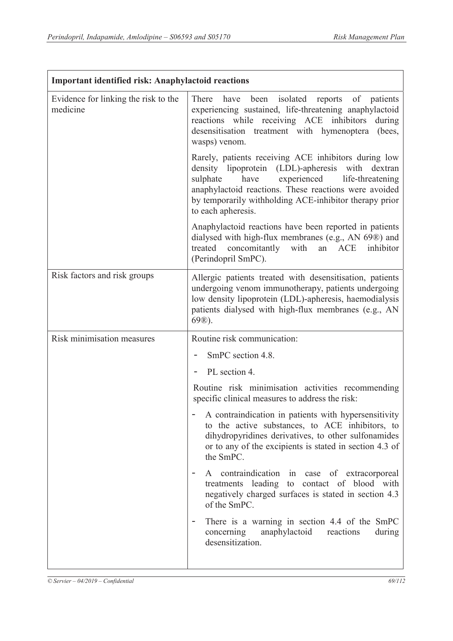| <b>Important identified risk: Anaphylactoid reactions</b> |                                                                                                                                                                                                                                                                                                       |  |
|-----------------------------------------------------------|-------------------------------------------------------------------------------------------------------------------------------------------------------------------------------------------------------------------------------------------------------------------------------------------------------|--|
| Evidence for linking the risk to the<br>medicine          | There have been isolated reports of patients<br>experiencing sustained, life-threatening anaphylactoid<br>reactions while receiving ACE inhibitors during<br>desensitisation treatment with hymenoptera (bees,<br>wasps) venom.                                                                       |  |
|                                                           | Rarely, patients receiving ACE inhibitors during low<br>density lipoprotein (LDL)-apheresis with dextran<br>experienced life-threatening<br>sulphate<br>have<br>anaphylactoid reactions. These reactions were avoided<br>by temporarily withholding ACE-inhibitor therapy prior<br>to each apheresis. |  |
|                                                           | Anaphylactoid reactions have been reported in patients<br>dialysed with high-flux membranes (e.g., AN 69®) and<br>concomitantly with an ACE inhibitor<br>treated<br>(Perindopril SmPC).                                                                                                               |  |
| Risk factors and risk groups                              | Allergic patients treated with desensitisation, patients<br>undergoing venom immunotherapy, patients undergoing<br>low density lipoprotein (LDL)-apheresis, haemodialysis<br>patients dialysed with high-flux membranes (e.g., AN<br>$69$ <sup>(8)</sup> .                                            |  |
| Risk minimisation measures                                | Routine risk communication:                                                                                                                                                                                                                                                                           |  |
|                                                           | SmPC section 4.8.                                                                                                                                                                                                                                                                                     |  |
|                                                           | PL section 4.                                                                                                                                                                                                                                                                                         |  |
|                                                           | Routine risk minimisation activities recommending<br>specific clinical measures to address the risk:                                                                                                                                                                                                  |  |
|                                                           | A contraindication in patients with hypersensitivity<br>to the active substances, to ACE inhibitors, to<br>dihydropyridines derivatives, to other sulfonamides<br>or to any of the excipients is stated in section 4.3 of<br>the SmPC.                                                                |  |
|                                                           | A contraindication in case of extracorporeal<br>treatments leading to contact of blood with<br>negatively charged surfaces is stated in section 4.3<br>of the SmPC.                                                                                                                                   |  |
|                                                           | There is a warning in section 4.4 of the SmPC<br>$\overline{\phantom{a}}$<br>anaphylactoid<br>concerning<br>reactions<br>during<br>desensitization.                                                                                                                                                   |  |
|                                                           |                                                                                                                                                                                                                                                                                                       |  |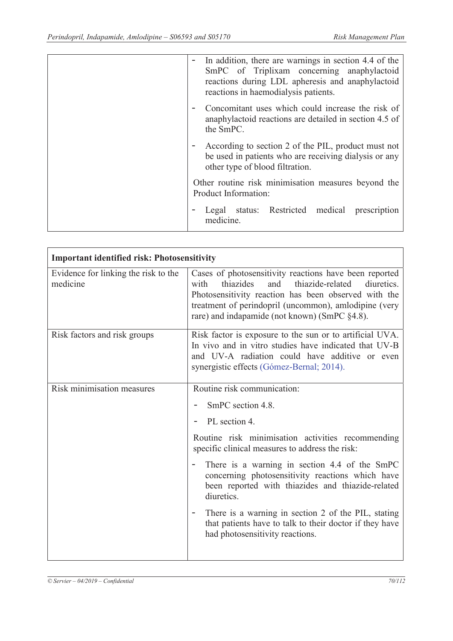| In addition, there are warnings in section 4.4 of the<br>SmPC of Triplixam concerning anaphylactoid<br>reactions during LDL apheresis and anaphylactoid<br>reactions in haemodialysis patients. |
|-------------------------------------------------------------------------------------------------------------------------------------------------------------------------------------------------|
| Concomitant uses which could increase the risk of<br>anaphylactoid reactions are detailed in section 4.5 of<br>the SmPC.                                                                        |
| According to section 2 of the PIL, product must not<br>be used in patients who are receiving dialysis or any<br>other type of blood filtration.                                                 |
| Other routine risk minimisation measures beyond the<br>Product Information:                                                                                                                     |
| Legal status: Restricted medical<br>prescription<br>medicine.                                                                                                                                   |

| <b>Important identified risk: Photosensitivity</b> |                                                                                                                                                                                                                                                                                        |  |
|----------------------------------------------------|----------------------------------------------------------------------------------------------------------------------------------------------------------------------------------------------------------------------------------------------------------------------------------------|--|
| Evidence for linking the risk to the<br>medicine   | Cases of photosensitivity reactions have been reported<br>thiazides<br>thiazide-related<br>and<br>diuretics.<br>with<br>Photosensitivity reaction has been observed with the<br>treatment of perindopril (uncommon), amlodipine (very<br>rare) and indapamide (not known) (SmPC §4.8). |  |
| Risk factors and risk groups                       | Risk factor is exposure to the sun or to artificial UVA.<br>In vivo and in vitro studies have indicated that UV-B<br>and UV-A radiation could have additive or even<br>synergistic effects (Gómez-Bernal; 2014).                                                                       |  |
| Risk minimisation measures                         | Routine risk communication:                                                                                                                                                                                                                                                            |  |
|                                                    | SmPC section 4.8.                                                                                                                                                                                                                                                                      |  |
|                                                    | PL section 4.                                                                                                                                                                                                                                                                          |  |
|                                                    | Routine risk minimisation activities recommending<br>specific clinical measures to address the risk:                                                                                                                                                                                   |  |
|                                                    | There is a warning in section 4.4 of the SmPC<br>concerning photosensitivity reactions which have<br>been reported with thiazides and thiazide-related<br>diuretics.                                                                                                                   |  |
|                                                    | There is a warning in section 2 of the PIL, stating<br>that patients have to talk to their doctor if they have<br>had photosensitivity reactions.                                                                                                                                      |  |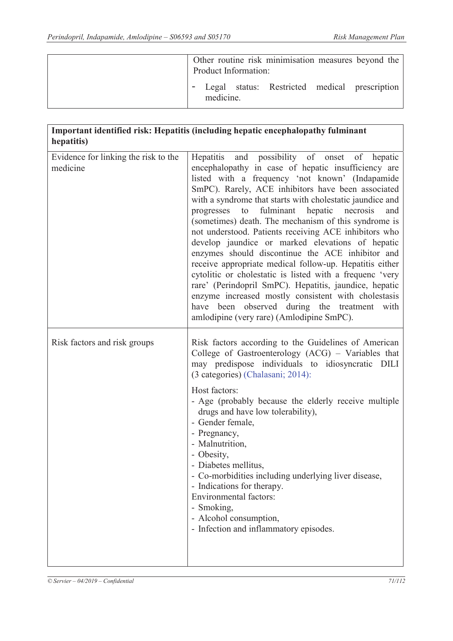|  | Product Information: | Other routine risk minimisation measures beyond the |  |
|--|----------------------|-----------------------------------------------------|--|
|  | medicine.            | Legal status: Restricted medical prescription       |  |

# **Important identified risk: Hepatitis (including hepatic encephalopathy fulminant hepatitis)**

| Evidence for linking the risk to the | Hepatitis and possibility of onset of hepatic                                                                                                                                                                                                                                                                                                                                                                                                                                                                                                                                                                                                                                                                                                                                                                                              |
|--------------------------------------|--------------------------------------------------------------------------------------------------------------------------------------------------------------------------------------------------------------------------------------------------------------------------------------------------------------------------------------------------------------------------------------------------------------------------------------------------------------------------------------------------------------------------------------------------------------------------------------------------------------------------------------------------------------------------------------------------------------------------------------------------------------------------------------------------------------------------------------------|
| medicine                             | encephalopathy in case of hepatic insufficiency are<br>listed with a frequency 'not known' (Indapamide<br>SmPC). Rarely, ACE inhibitors have been associated<br>with a syndrome that starts with cholestatic jaundice and<br>progresses to fulminant hepatic necrosis<br>and<br>(sometimes) death. The mechanism of this syndrome is<br>not understood. Patients receiving ACE inhibitors who<br>develop jaundice or marked elevations of hepatic<br>enzymes should discontinue the ACE inhibitor and<br>receive appropriate medical follow-up. Hepatitis either<br>cytolitic or cholestatic is listed with a frequenc 'very<br>rare' (Perindopril SmPC). Hepatitis, jaundice, hepatic<br>enzyme increased mostly consistent with cholestasis<br>have been observed during the treatment with<br>amlodipine (very rare) (Amlodipine SmPC). |
| Risk factors and risk groups         | Risk factors according to the Guidelines of American<br>College of Gastroenterology (ACG) - Variables that<br>may predispose individuals to idiosyncratic DILI<br>(3 categories) (Chalasani; 2014):<br>Host factors:<br>- Age (probably because the elderly receive multiple<br>drugs and have low tolerability),<br>- Gender female,<br>- Pregnancy,<br>- Malnutrition,<br>- Obesity,<br>- Diabetes mellitus,<br>- Co-morbidities including underlying liver disease,<br>- Indications for therapy.<br><b>Environmental factors:</b><br>- Smoking,<br>- Alcohol consumption,<br>- Infection and inflammatory episodes.                                                                                                                                                                                                                    |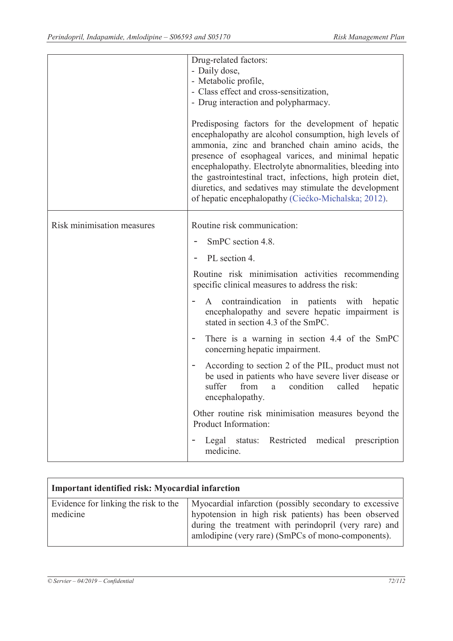|                            | Drug-related factors:<br>- Daily dose,<br>- Metabolic profile,<br>- Class effect and cross-sensitization,<br>- Drug interaction and polypharmacy.<br>Predisposing factors for the development of hepatic<br>encephalopathy are alcohol consumption, high levels of<br>ammonia, zinc and branched chain amino acids, the<br>presence of esophageal varices, and minimal hepatic<br>encephalopathy. Electrolyte abnormalities, bleeding into<br>the gastrointestinal tract, infections, high protein diet,<br>diuretics, and sedatives may stimulate the development<br>of hepatic encephalopathy (Ciećko-Michalska; 2012). |
|----------------------------|---------------------------------------------------------------------------------------------------------------------------------------------------------------------------------------------------------------------------------------------------------------------------------------------------------------------------------------------------------------------------------------------------------------------------------------------------------------------------------------------------------------------------------------------------------------------------------------------------------------------------|
| Risk minimisation measures | Routine risk communication:<br>SmPC section 4.8.                                                                                                                                                                                                                                                                                                                                                                                                                                                                                                                                                                          |
|                            | PL section 4.                                                                                                                                                                                                                                                                                                                                                                                                                                                                                                                                                                                                             |
|                            | Routine risk minimisation activities recommending<br>specific clinical measures to address the risk:                                                                                                                                                                                                                                                                                                                                                                                                                                                                                                                      |
|                            | contraindication in patients with<br>hepatic<br>A<br>encephalopathy and severe hepatic impairment is<br>stated in section 4.3 of the SmPC.                                                                                                                                                                                                                                                                                                                                                                                                                                                                                |
|                            | There is a warning in section 4.4 of the SmPC<br>$\overline{\phantom{a}}$<br>concerning hepatic impairment.                                                                                                                                                                                                                                                                                                                                                                                                                                                                                                               |
|                            | According to section 2 of the PIL, product must not<br>$\overline{\phantom{a}}$<br>be used in patients who have severe liver disease or<br>suffer<br>from<br>condition<br>called<br>hepatic<br>a<br>encephalopathy.                                                                                                                                                                                                                                                                                                                                                                                                       |
|                            | Other routine risk minimisation measures beyond the<br>Product Information:                                                                                                                                                                                                                                                                                                                                                                                                                                                                                                                                               |
|                            | Restricted medical prescription<br>Legal status:<br>medicine.                                                                                                                                                                                                                                                                                                                                                                                                                                                                                                                                                             |

| <b>Important identified risk: Myocardial infarction</b> |                                                                                                                                                                                                                               |  |
|---------------------------------------------------------|-------------------------------------------------------------------------------------------------------------------------------------------------------------------------------------------------------------------------------|--|
| Evidence for linking the risk to the<br>medicine        | Myocardial infarction (possibly secondary to excessive<br>hypotension in high risk patients) has been observed<br>during the treatment with perindopril (very rare) and<br>amlodipine (very rare) (SmPCs of mono-components). |  |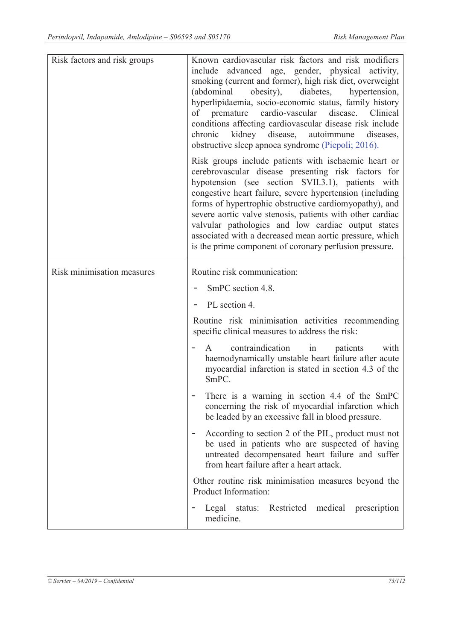| Risk factors and risk groups | Known cardiovascular risk factors and risk modifiers<br>advanced age, gender, physical activity,<br>include<br>smoking (current and former), high risk diet, overweight<br>(abdominal)<br>obesity),<br>diabetes,<br>hypertension,<br>hyperlipidaemia, socio-economic status, family history<br>disease.<br>of premature<br>cardio-vascular<br>Clinical<br>conditions affecting cardiovascular disease risk include<br>kidney disease, autoimmune<br>chronic<br>diseases,<br>obstructive sleep apnoea syndrome (Piepoli; 2016). |
|------------------------------|--------------------------------------------------------------------------------------------------------------------------------------------------------------------------------------------------------------------------------------------------------------------------------------------------------------------------------------------------------------------------------------------------------------------------------------------------------------------------------------------------------------------------------|
|                              | Risk groups include patients with ischaemic heart or<br>cerebrovascular disease presenting risk factors for<br>hypotension (see section SVII.3.1), patients with<br>congestive heart failure, severe hypertension (including<br>forms of hypertrophic obstructive cardiomyopathy), and<br>severe aortic valve stenosis, patients with other cardiac<br>valvular pathologies and low cardiac output states<br>associated with a decreased mean aortic pressure, which<br>is the prime component of coronary perfusion pressure. |
| Risk minimisation measures   | Routine risk communication:                                                                                                                                                                                                                                                                                                                                                                                                                                                                                                    |
|                              | SmPC section 4.8.                                                                                                                                                                                                                                                                                                                                                                                                                                                                                                              |
|                              | PL section 4.                                                                                                                                                                                                                                                                                                                                                                                                                                                                                                                  |
|                              | Routine risk minimisation activities recommending<br>specific clinical measures to address the risk:                                                                                                                                                                                                                                                                                                                                                                                                                           |
|                              | contraindication in<br>patients<br>with<br>$\mathsf{A}$<br>haemodynamically unstable heart failure after acute<br>myocardial infarction is stated in section 4.3 of the<br>SmPC.                                                                                                                                                                                                                                                                                                                                               |
|                              | There is a warning in section 4.4 of the SmPC<br>concerning the risk of myocardial infarction which<br>be leaded by an excessive fall in blood pressure.                                                                                                                                                                                                                                                                                                                                                                       |
|                              | According to section 2 of the PIL, product must not<br>$\overline{\phantom{a}}$<br>be used in patients who are suspected of having<br>untreated decompensated heart failure and suffer<br>from heart failure after a heart attack.                                                                                                                                                                                                                                                                                             |
|                              | Other routine risk minimisation measures beyond the<br>Product Information:                                                                                                                                                                                                                                                                                                                                                                                                                                                    |
|                              | Restricted<br>medical<br>prescription<br>Legal status:<br>-<br>medicine.                                                                                                                                                                                                                                                                                                                                                                                                                                                       |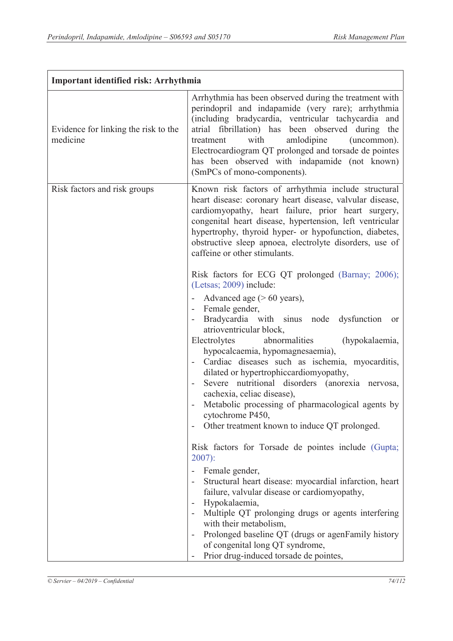| Important identified risk: Arrhythmia            |                                                                                                                                                                                                                                                                                                                                                                                                                                                                                                                                                                                                                                                                                                   |  |  |
|--------------------------------------------------|---------------------------------------------------------------------------------------------------------------------------------------------------------------------------------------------------------------------------------------------------------------------------------------------------------------------------------------------------------------------------------------------------------------------------------------------------------------------------------------------------------------------------------------------------------------------------------------------------------------------------------------------------------------------------------------------------|--|--|
| Evidence for linking the risk to the<br>medicine | Arrhythmia has been observed during the treatment with<br>perindopril and indapamide (very rare); arrhythmia<br>(including bradycardia, ventricular tachycardia and<br>atrial fibrillation) has been observed during the<br>with<br>amlodipine<br>treatment<br>(uncommon).<br>Electrocardiogram QT prolonged and torsade de pointes<br>has been observed with indapamide (not known)<br>(SmPCs of mono-components).                                                                                                                                                                                                                                                                               |  |  |
| Risk factors and risk groups                     | Known risk factors of arrhythmia include structural<br>heart disease: coronary heart disease, valvular disease,<br>cardiomyopathy, heart failure, prior heart surgery,<br>congenital heart disease, hypertension, left ventricular<br>hypertrophy, thyroid hyper- or hypofunction, diabetes,<br>obstructive sleep apnoea, electrolyte disorders, use of<br>caffeine or other stimulants.                                                                                                                                                                                                                                                                                                          |  |  |
|                                                  | Risk factors for ECG QT prolonged (Barnay; 2006);<br>(Letsas; 2009) include:<br>Advanced age $($ > 60 years),<br>- Female gender,<br>Bradycardia with sinus node dysfunction<br>or<br>atrioventricular block,<br>Electrolytes<br>abnormalities<br>(hypokalaemia,<br>hypocalcaemia, hypomagnesaemia),<br>Cardiac diseases such as ischemia, myocarditis,<br>dilated or hypertrophiccardiomyopathy,<br>Severe nutritional disorders (anorexia nervosa,<br>cachexia, celiac disease),<br>Metabolic processing of pharmacological agents by<br>cytochrome P450,<br>Other treatment known to induce QT prolonged.<br>Risk factors for Torsade de pointes include (Gupta;<br>$2007$ :<br>Female gender, |  |  |
|                                                  | Structural heart disease: myocardial infarction, heart<br>failure, valvular disease or cardiomyopathy,<br>Hypokalaemia,<br>$\overline{\phantom{a}}$<br>Multiple QT prolonging drugs or agents interfering<br>with their metabolism,<br>Prolonged baseline QT (drugs or agenFamily history<br>$\overline{\phantom{a}}$<br>of congenital long QT syndrome,<br>Prior drug-induced torsade de pointes,                                                                                                                                                                                                                                                                                                |  |  |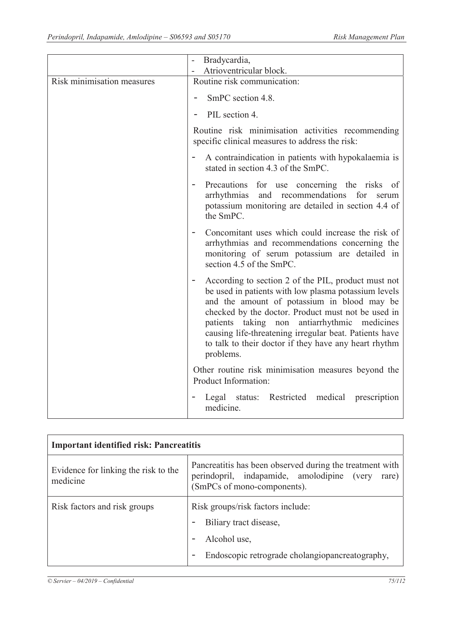|                            | Bradycardia,                                                                                                                                                                                                                                                                                                                                                                                        |
|----------------------------|-----------------------------------------------------------------------------------------------------------------------------------------------------------------------------------------------------------------------------------------------------------------------------------------------------------------------------------------------------------------------------------------------------|
|                            | Atrioventricular block.                                                                                                                                                                                                                                                                                                                                                                             |
| Risk minimisation measures | Routine risk communication:                                                                                                                                                                                                                                                                                                                                                                         |
|                            | SmPC section 4.8.                                                                                                                                                                                                                                                                                                                                                                                   |
|                            | PIL section 4.                                                                                                                                                                                                                                                                                                                                                                                      |
|                            | Routine risk minimisation activities recommending<br>specific clinical measures to address the risk:                                                                                                                                                                                                                                                                                                |
|                            | A contraindication in patients with hypokalaemia is<br>stated in section 4.3 of the SmPC.                                                                                                                                                                                                                                                                                                           |
|                            | Precautions for use concerning the risks of<br>and recommendations<br>arrhythmias<br>for<br>serum<br>potassium monitoring are detailed in section 4.4 of<br>the SmPC.                                                                                                                                                                                                                               |
|                            | Concomitant uses which could increase the risk of<br>arrhythmias and recommendations concerning the<br>monitoring of serum potassium are detailed in<br>section 4.5 of the SmPC.                                                                                                                                                                                                                    |
|                            | According to section 2 of the PIL, product must not<br>be used in patients with low plasma potassium levels<br>and the amount of potassium in blood may be<br>checked by the doctor. Product must not be used in<br>patients taking non<br>antiarrhythmic medicines<br>causing life-threatening irregular beat. Patients have<br>to talk to their doctor if they have any heart rhythm<br>problems. |
|                            | Other routine risk minimisation measures beyond the<br>Product Information:                                                                                                                                                                                                                                                                                                                         |
|                            | Legal status: Restricted medical prescription<br>medicine.                                                                                                                                                                                                                                                                                                                                          |

| <b>Important identified risk: Pancreatitis</b>   |                                                                                                                                                |  |  |
|--------------------------------------------------|------------------------------------------------------------------------------------------------------------------------------------------------|--|--|
| Evidence for linking the risk to the<br>medicine | Pancreatitis has been observed during the treatment with<br>perindopril, indapamide, amolodipine (very<br>rare)<br>(SmPCs of mono-components). |  |  |
| Risk factors and risk groups                     | Risk groups/risk factors include:                                                                                                              |  |  |
|                                                  | Biliary tract disease,<br>Alcohol use,                                                                                                         |  |  |
|                                                  | Endoscopic retrograde cholangiopancreatography,                                                                                                |  |  |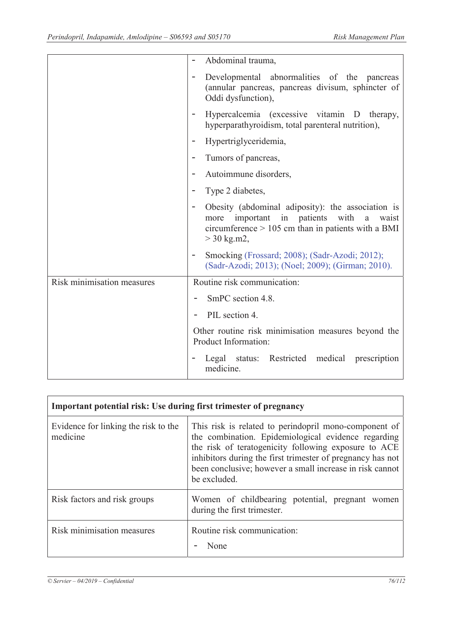|                            | Abdominal trauma,                                                                                                                                                                                |
|----------------------------|--------------------------------------------------------------------------------------------------------------------------------------------------------------------------------------------------|
|                            | Developmental abnormalities of the pancreas<br>(annular pancreas, pancreas divisum, sphincter of<br>Oddi dysfunction),                                                                           |
|                            | Hypercalcemia (excessive vitamin D therapy,<br>hyperparathyroidism, total parenteral nutrition),                                                                                                 |
|                            | Hypertriglyceridemia,<br>$\overline{\phantom{0}}$                                                                                                                                                |
|                            | Tumors of pancreas,<br>$\overline{\phantom{0}}$                                                                                                                                                  |
|                            | Autoimmune disorders,                                                                                                                                                                            |
|                            | Type 2 diabetes,<br>$\overline{\phantom{0}}$                                                                                                                                                     |
|                            | Obesity (abdominal adiposity): the association is<br>$\qquad \qquad -$<br>important in patients with a<br>more<br>waist<br>circumference $> 105$ cm than in patients with a BMI<br>$>$ 30 kg.m2, |
|                            | Smocking (Frossard; 2008); (Sadr-Azodi; 2012);<br>۰<br>(Sadr-Azodi; 2013); (Noel; 2009); (Girman; 2010).                                                                                         |
| Risk minimisation measures | Routine risk communication:                                                                                                                                                                      |
|                            | SmPC section 4.8.                                                                                                                                                                                |
|                            | PIL section 4.                                                                                                                                                                                   |
|                            | Other routine risk minimisation measures beyond the<br>Product Information:                                                                                                                      |
|                            | Legal status: Restricted medical prescription<br>medicine.                                                                                                                                       |

| <b>Important potential risk: Use during first trimester of pregnancy</b> |                                                                                                                                                                                                                                                                                                                |  |  |  |
|--------------------------------------------------------------------------|----------------------------------------------------------------------------------------------------------------------------------------------------------------------------------------------------------------------------------------------------------------------------------------------------------------|--|--|--|
| Evidence for linking the risk to the<br>medicine                         | This risk is related to perindopril mono-component of<br>the combination. Epidemiological evidence regarding<br>the risk of teratogenicity following exposure to ACE<br>inhibitors during the first trimester of pregnancy has not<br>been conclusive; however a small increase in risk cannot<br>be excluded. |  |  |  |
| Risk factors and risk groups                                             | Women of childbearing potential, pregnant women<br>during the first trimester.                                                                                                                                                                                                                                 |  |  |  |
| Risk minimisation measures                                               | Routine risk communication:<br>None                                                                                                                                                                                                                                                                            |  |  |  |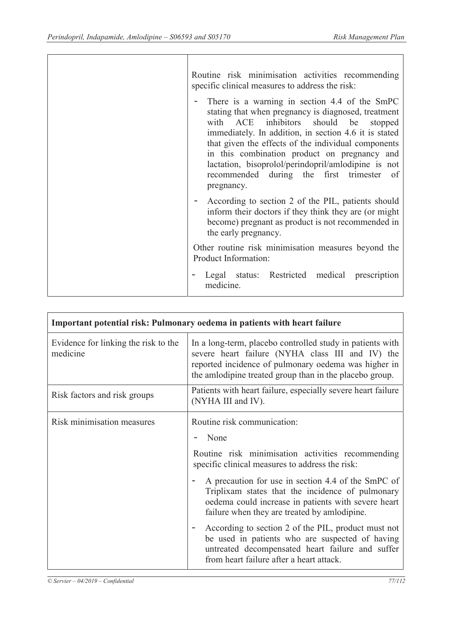| Routine risk minimisation activities recommending<br>specific clinical measures to address the risk:                                                                                                                                                                                                                                                                                                                                  |
|---------------------------------------------------------------------------------------------------------------------------------------------------------------------------------------------------------------------------------------------------------------------------------------------------------------------------------------------------------------------------------------------------------------------------------------|
| There is a warning in section 4.4 of the SmPC<br>stating that when pregnancy is diagnosed, treatment<br>with ACE<br>inhibitors should be<br>stopped<br>immediately. In addition, in section 4.6 it is stated<br>that given the effects of the individual components<br>in this combination product on pregnancy and<br>lactation, bisoprolol/perindopril/amlodipine is not<br>recommended during the first trimester of<br>pregnancy. |
| According to section 2 of the PIL, patients should<br>inform their doctors if they think they are (or might<br>become) pregnant as product is not recommended in<br>the early pregnancy.                                                                                                                                                                                                                                              |
| Other routine risk minimisation measures beyond the<br>Product Information:                                                                                                                                                                                                                                                                                                                                                           |
| Legal status: Restricted medical prescription<br>medicine.                                                                                                                                                                                                                                                                                                                                                                            |

| Important potential risk: Pulmonary oedema in patients with heart failure |                                                                                                                                                                                                                                                                                                                                                                                                                     |  |
|---------------------------------------------------------------------------|---------------------------------------------------------------------------------------------------------------------------------------------------------------------------------------------------------------------------------------------------------------------------------------------------------------------------------------------------------------------------------------------------------------------|--|
| Evidence for linking the risk to the<br>medicine                          | In a long-term, placebo controlled study in patients with<br>severe heart failure (NYHA class III and IV) the<br>reported incidence of pulmonary oedema was higher in<br>the amlodipine treated group than in the placebo group.                                                                                                                                                                                    |  |
| Risk factors and risk groups                                              | Patients with heart failure, especially severe heart failure<br>(NYHA III and IV).                                                                                                                                                                                                                                                                                                                                  |  |
| Risk minimisation measures                                                | Routine risk communication:<br>None<br>Routine risk minimisation activities recommending<br>specific clinical measures to address the risk:<br>A precaution for use in section 4.4 of the SmPC of<br>Triplixam states that the incidence of pulmonary<br>oedema could increase in patients with severe heart<br>failure when they are treated by amlodipine.<br>According to section 2 of the PIL, product must not |  |
|                                                                           | be used in patients who are suspected of having<br>untreated decompensated heart failure and suffer<br>from heart failure after a heart attack.                                                                                                                                                                                                                                                                     |  |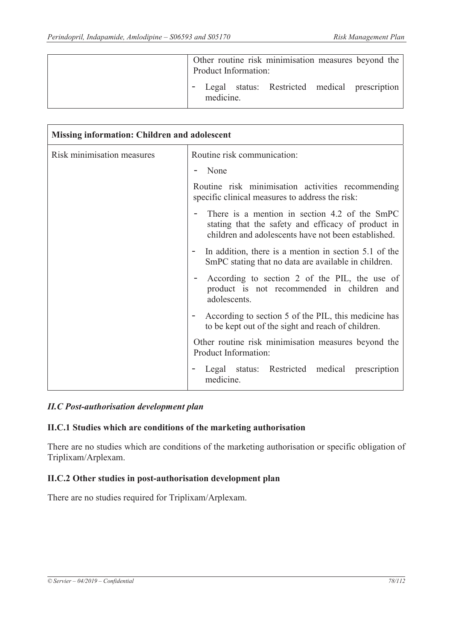|  |           | Product Information: |  | Other routine risk minimisation measures beyond the |
|--|-----------|----------------------|--|-----------------------------------------------------|
|  | medicine. |                      |  | Legal status: Restricted medical prescription       |

| <b>Missing information: Children and adolescent</b> |                                                                                                                                                            |  |  |
|-----------------------------------------------------|------------------------------------------------------------------------------------------------------------------------------------------------------------|--|--|
| Risk minimisation measures                          | Routine risk communication:                                                                                                                                |  |  |
|                                                     | None                                                                                                                                                       |  |  |
|                                                     | Routine risk minimisation activities recommending<br>specific clinical measures to address the risk:                                                       |  |  |
|                                                     | There is a mention in section 4.2 of the SmPC<br>stating that the safety and efficacy of product in<br>children and adolescents have not been established. |  |  |
|                                                     | In addition, there is a mention in section 5.1 of the<br>SmPC stating that no data are available in children.                                              |  |  |
|                                                     | According to section 2 of the PIL, the use of<br>product is not recommended in children and<br>adolescents.                                                |  |  |
|                                                     | According to section 5 of the PIL, this medicine has<br>to be kept out of the sight and reach of children.                                                 |  |  |
|                                                     | Other routine risk minimisation measures beyond the<br>Product Information:                                                                                |  |  |
|                                                     | Legal status: Restricted medical prescription<br>medicine.                                                                                                 |  |  |

#### *II.C Post-authorisation development plan*

#### **II.C.1 Studies which are conditions of the marketing authorisation**

There are no studies which are conditions of the marketing authorisation or specific obligation of Triplixam/Arplexam.

#### **II.C.2 Other studies in post-authorisation development plan**

There are no studies required for Triplixam/Arplexam.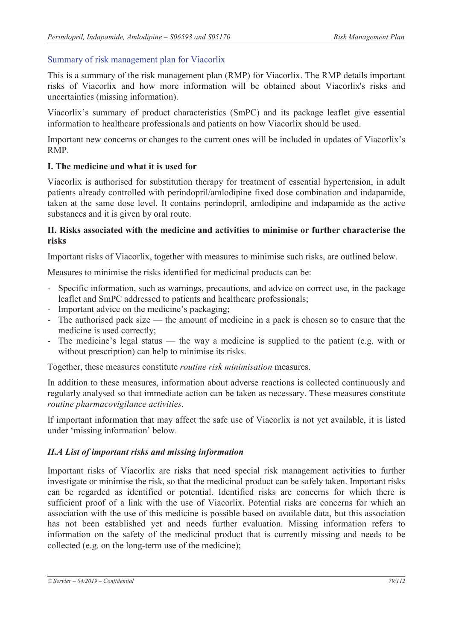## Summary of risk management plan for Viacorlix

This is a summary of the risk management plan (RMP) for Viacorlix. The RMP details important risks of Viacorlix and how more information will be obtained about Viacorlix's risks and uncertainties (missing information).

Viacorlix's summary of product characteristics (SmPC) and its package leaflet give essential information to healthcare professionals and patients on how Viacorlix should be used.

Important new concerns or changes to the current ones will be included in updates of Viacorlix's RMP.

## **I. The medicine and what it is used for**

Viacorlix is authorised for substitution therapy for treatment of essential hypertension, in adult patients already controlled with perindopril/amlodipine fixed dose combination and indapamide, taken at the same dose level. It contains perindopril, amlodipine and indapamide as the active substances and it is given by oral route.

#### **II. Risks associated with the medicine and activities to minimise or further characterise the risks**

Important risks of Viacorlix, together with measures to minimise such risks, are outlined below.

Measures to minimise the risks identified for medicinal products can be:

- Specific information, such as warnings, precautions, and advice on correct use, in the package leaflet and SmPC addressed to patients and healthcare professionals;
- Important advice on the medicine's packaging;
- The authorised pack size the amount of medicine in a pack is chosen so to ensure that the medicine is used correctly;
- The medicine's legal status the way a medicine is supplied to the patient (e.g. with or without prescription) can help to minimise its risks.

Together, these measures constitute *routine risk minimisation* measures.

In addition to these measures, information about adverse reactions is collected continuously and regularly analysed so that immediate action can be taken as necessary. These measures constitute *routine pharmacovigilance activities*.

If important information that may affect the safe use of Viacorlix is not yet available, it is listed under 'missing information' below.

## *II.A List of important risks and missing information*

Important risks of Viacorlix are risks that need special risk management activities to further investigate or minimise the risk, so that the medicinal product can be safely taken. Important risks can be regarded as identified or potential. Identified risks are concerns for which there is sufficient proof of a link with the use of Viacorlix. Potential risks are concerns for which an association with the use of this medicine is possible based on available data, but this association has not been established yet and needs further evaluation. Missing information refers to information on the safety of the medicinal product that is currently missing and needs to be collected (e.g. on the long-term use of the medicine);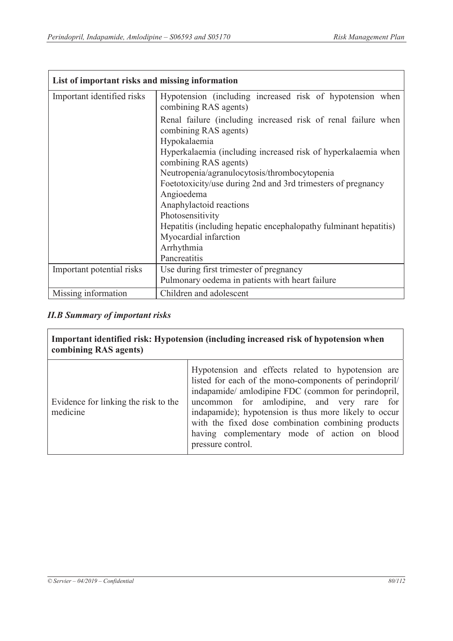| List of important risks and missing information |                                                                                                        |
|-------------------------------------------------|--------------------------------------------------------------------------------------------------------|
| Important identified risks                      | Hypotension (including increased risk of hypotension when<br>combining RAS agents)                     |
|                                                 | Renal failure (including increased risk of renal failure when<br>combining RAS agents)<br>Hypokalaemia |
|                                                 | Hyperkalaemia (including increased risk of hyperkalaemia when<br>combining RAS agents)                 |
|                                                 | Neutropenia/agranulocytosis/thrombocytopenia                                                           |
|                                                 | Foetotoxicity/use during 2nd and 3rd trimesters of pregnancy                                           |
|                                                 | Angioedema                                                                                             |
|                                                 | Anaphylactoid reactions                                                                                |
|                                                 | Photosensitivity                                                                                       |
|                                                 | Hepatitis (including hepatic encephalopathy fulminant hepatitis)                                       |
|                                                 | Myocardial infarction                                                                                  |
|                                                 | Arrhythmia                                                                                             |
|                                                 | Pancreatitis                                                                                           |
| Important potential risks                       | Use during first trimester of pregnancy                                                                |
|                                                 | Pulmonary oedema in patients with heart failure                                                        |
| Missing information                             | Children and adolescent                                                                                |

# *II.B Summary of important risks*

| combining RAS agents)                            | Important identified risk: Hypotension (including increased risk of hypotension when                                                                                                                                                                                                                                                                                                                  |
|--------------------------------------------------|-------------------------------------------------------------------------------------------------------------------------------------------------------------------------------------------------------------------------------------------------------------------------------------------------------------------------------------------------------------------------------------------------------|
| Evidence for linking the risk to the<br>medicine | Hypotension and effects related to hypotension are<br>listed for each of the mono-components of perindopril/<br>indapamide/ amlodipine FDC (common for perindopril,<br>uncommon for amlodipine, and very rare for<br>indapamide); hypotension is thus more likely to occur<br>with the fixed dose combination combining products<br>having complementary mode of action on blood<br>pressure control. |

 $\overline{\phantom{a}}$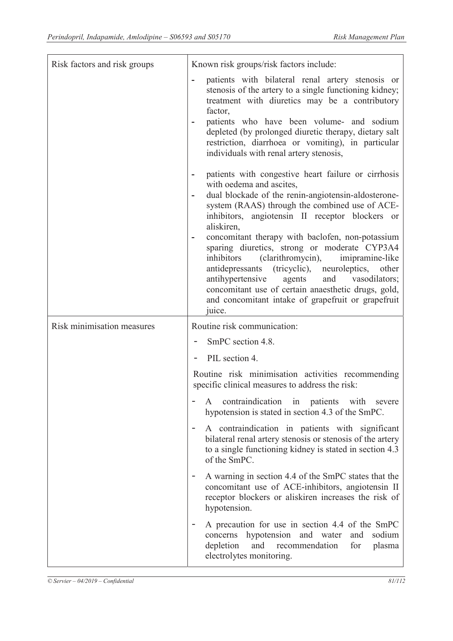| Risk factors and risk groups | Known risk groups/risk factors include:                                                                                                                                                                                                                                                                                                                                                                                                                                                                                                                                                                                                                   |
|------------------------------|-----------------------------------------------------------------------------------------------------------------------------------------------------------------------------------------------------------------------------------------------------------------------------------------------------------------------------------------------------------------------------------------------------------------------------------------------------------------------------------------------------------------------------------------------------------------------------------------------------------------------------------------------------------|
|                              | patients with bilateral renal artery stenosis or<br>stenosis of the artery to a single functioning kidney;<br>treatment with diuretics may be a contributory<br>factor,<br>patients who have been volume- and sodium<br>depleted (by prolonged diuretic therapy, dietary salt<br>restriction, diarrhoea or vomiting), in particular<br>individuals with renal artery stenosis,                                                                                                                                                                                                                                                                            |
|                              | patients with congestive heart failure or cirrhosis<br>-<br>with oedema and ascites,<br>dual blockade of the renin-angiotensin-aldosterone-<br>system (RAAS) through the combined use of ACE-<br>inhibitors, angiotensin II receptor blockers or<br>aliskiren,<br>concomitant therapy with baclofen, non-potassium<br>sparing diuretics, strong or moderate CYP3A4<br>(clarithromycin),<br>imipramine-like<br>inhibitors<br>antidepressants (tricyclic), neuroleptics, other<br>antihypertensive<br>and<br>agents<br>vasodilators;<br>concomitant use of certain anaesthetic drugs, gold,<br>and concomitant intake of grapefruit or grapefruit<br>juice. |
| Risk minimisation measures   | Routine risk communication:                                                                                                                                                                                                                                                                                                                                                                                                                                                                                                                                                                                                                               |
|                              | SmPC section 4.8.                                                                                                                                                                                                                                                                                                                                                                                                                                                                                                                                                                                                                                         |
|                              | PIL section 4.                                                                                                                                                                                                                                                                                                                                                                                                                                                                                                                                                                                                                                            |
|                              | Routine risk minimisation activities recommending<br>specific clinical measures to address the risk:                                                                                                                                                                                                                                                                                                                                                                                                                                                                                                                                                      |
|                              | contraindication in patients with<br>severe<br>A<br>hypotension is stated in section 4.3 of the SmPC.                                                                                                                                                                                                                                                                                                                                                                                                                                                                                                                                                     |
|                              | A contraindication in patients with significant<br>bilateral renal artery stenosis or stenosis of the artery<br>to a single functioning kidney is stated in section 4.3<br>of the SmPC.                                                                                                                                                                                                                                                                                                                                                                                                                                                                   |
|                              | A warning in section 4.4 of the SmPC states that the<br>concomitant use of ACE-inhibitors, angiotensin II<br>receptor blockers or aliskiren increases the risk of<br>hypotension.                                                                                                                                                                                                                                                                                                                                                                                                                                                                         |
|                              | A precaution for use in section 4.4 of the SmPC<br>hypotension and water<br>sodium<br>and<br>concerns<br>depletion<br>and<br>for<br>recommendation<br>plasma<br>electrolytes monitoring.                                                                                                                                                                                                                                                                                                                                                                                                                                                                  |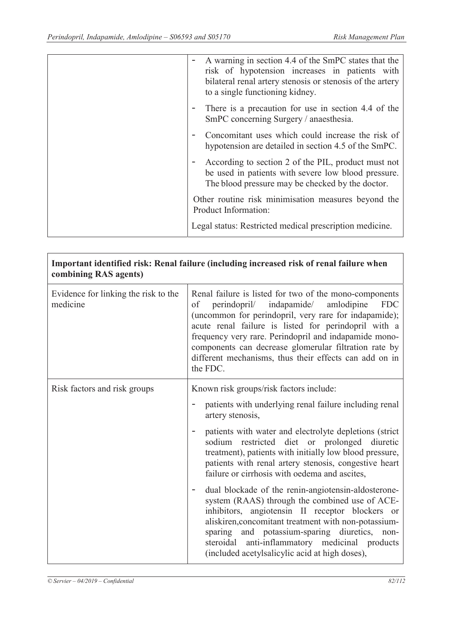| A warning in section 4.4 of the SmPC states that the<br>risk of hypotension increases in patients with<br>bilateral renal artery stenosis or stenosis of the artery<br>to a single functioning kidney. |
|--------------------------------------------------------------------------------------------------------------------------------------------------------------------------------------------------------|
| There is a precaution for use in section 4.4 of the<br>SmPC concerning Surgery / anaesthesia.                                                                                                          |
| Concomitant uses which could increase the risk of<br>hypotension are detailed in section 4.5 of the SmPC.                                                                                              |
| According to section 2 of the PIL, product must not<br>be used in patients with severe low blood pressure.<br>The blood pressure may be checked by the doctor.                                         |
| Other routine risk minimisation measures beyond the<br>Product Information:                                                                                                                            |
| Legal status: Restricted medical prescription medicine.                                                                                                                                                |

| Important identified risk: Renal failure (including increased risk of renal failure when<br>combining RAS agents) |                                                                                                                                                                                                                                                                                                                                                                                                                                                                                                                                                                                                                                                                                                                                                                                |
|-------------------------------------------------------------------------------------------------------------------|--------------------------------------------------------------------------------------------------------------------------------------------------------------------------------------------------------------------------------------------------------------------------------------------------------------------------------------------------------------------------------------------------------------------------------------------------------------------------------------------------------------------------------------------------------------------------------------------------------------------------------------------------------------------------------------------------------------------------------------------------------------------------------|
| Evidence for linking the risk to the<br>medicine                                                                  | Renal failure is listed for two of the mono-components<br>perindopril/ indapamide/<br>amlodipine<br><b>FDC</b><br>of<br>(uncommon for perindopril, very rare for indapamide);<br>acute renal failure is listed for perindopril with a<br>frequency very rare. Perindopril and indapamide mono-<br>components can decrease glomerular filtration rate by<br>different mechanisms, thus their effects can add on in<br>the FDC.                                                                                                                                                                                                                                                                                                                                                  |
| Risk factors and risk groups                                                                                      | Known risk groups/risk factors include:<br>patients with underlying renal failure including renal<br>artery stenosis,<br>patients with water and electrolyte depletions (strict)<br>sodium restricted diet or prolonged diuretic<br>treatment), patients with initially low blood pressure,<br>patients with renal artery stenosis, congestive heart<br>failure or cirrhosis with oedema and ascites,<br>dual blockade of the renin-angiotensin-aldosterone-<br>system (RAAS) through the combined use of ACE-<br>inhibitors, angiotensin II receptor blockers or<br>aliskiren, concomitant treatment with non-potassium-<br>sparing and potassium-sparing diuretics, non-<br>steroidal anti-inflammatory medicinal products<br>(included acetylsalicylic acid at high doses), |

ľ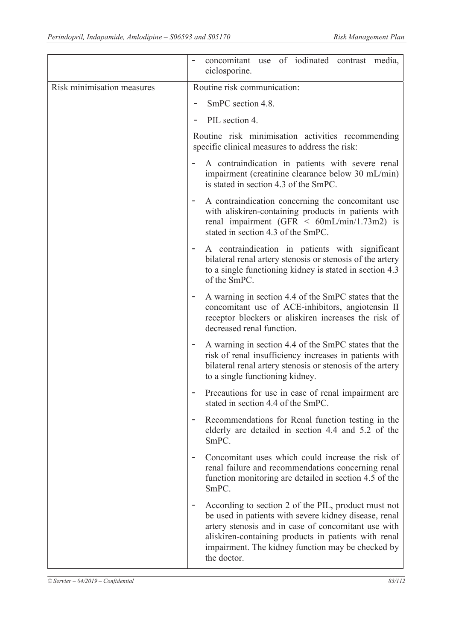|                            | concomitant use of iodinated contrast media,<br>ciclosporine.                                                                                                                                                                                                                                                               |
|----------------------------|-----------------------------------------------------------------------------------------------------------------------------------------------------------------------------------------------------------------------------------------------------------------------------------------------------------------------------|
| Risk minimisation measures | Routine risk communication:                                                                                                                                                                                                                                                                                                 |
|                            | SmPC section 4.8.                                                                                                                                                                                                                                                                                                           |
|                            | PIL section 4.                                                                                                                                                                                                                                                                                                              |
|                            | Routine risk minimisation activities recommending<br>specific clinical measures to address the risk:                                                                                                                                                                                                                        |
|                            | A contraindication in patients with severe renal<br>impairment (creatinine clearance below 30 mL/min)<br>is stated in section 4.3 of the SmPC.                                                                                                                                                                              |
|                            | A contraindication concerning the concomitant use<br>with aliskiren-containing products in patients with<br>renal impairment (GFR $\leq$ 60mL/min/1.73m2) is<br>stated in section 4.3 of the SmPC.                                                                                                                          |
|                            | A contraindication in patients with significant<br>bilateral renal artery stenosis or stenosis of the artery<br>to a single functioning kidney is stated in section 4.3<br>of the SmPC.                                                                                                                                     |
|                            | A warning in section 4.4 of the SmPC states that the<br>concomitant use of ACE-inhibitors, angiotensin II<br>receptor blockers or aliskiren increases the risk of<br>decreased renal function.                                                                                                                              |
|                            | A warning in section 4.4 of the SmPC states that the<br>risk of renal insufficiency increases in patients with<br>bilateral renal artery stenosis or stenosis of the artery<br>to a single functioning kidney.                                                                                                              |
|                            | Precautions for use in case of renal impairment are<br>stated in section 4.4 of the SmPC.                                                                                                                                                                                                                                   |
|                            | Recommendations for Renal function testing in the<br>elderly are detailed in section 4.4 and 5.2 of the<br>SmPC.                                                                                                                                                                                                            |
|                            | Concomitant uses which could increase the risk of<br>۰<br>renal failure and recommendations concerning renal<br>function monitoring are detailed in section 4.5 of the<br>SmPC.                                                                                                                                             |
|                            | According to section 2 of the PIL, product must not<br>$\overline{\phantom{a}}$<br>be used in patients with severe kidney disease, renal<br>artery stenosis and in case of concomitant use with<br>aliskiren-containing products in patients with renal<br>impairment. The kidney function may be checked by<br>the doctor. |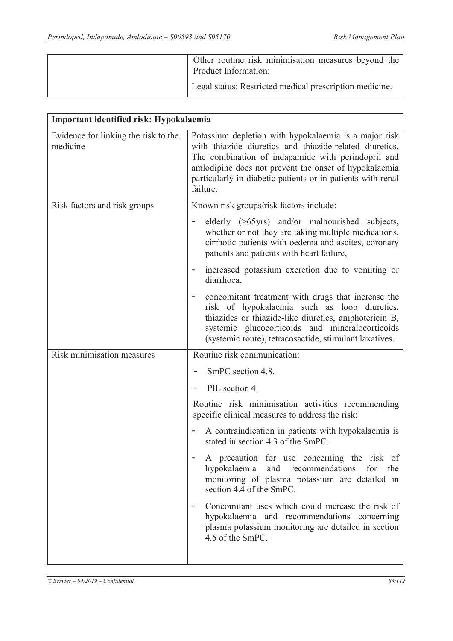| Other routine risk minimisation measures beyond the<br>Product Information: |
|-----------------------------------------------------------------------------|
| Legal status: Restricted medical prescription medicine.                     |

| Important identified risk: Hypokalaemia          |                                                                                                                                                                                                                                                                                                            |
|--------------------------------------------------|------------------------------------------------------------------------------------------------------------------------------------------------------------------------------------------------------------------------------------------------------------------------------------------------------------|
| Evidence for linking the risk to the<br>medicine | Potassium depletion with hypokalaemia is a major risk<br>with thiazide diuretics and thiazide-related diuretics.<br>The combination of indapamide with perindopril and<br>amlodipine does not prevent the onset of hypokalaemia<br>particularly in diabetic patients or in patients with renal<br>failure. |
| Risk factors and risk groups                     | Known risk groups/risk factors include:                                                                                                                                                                                                                                                                    |
|                                                  | elderly (>65yrs) and/or malnourished subjects,<br>whether or not they are taking multiple medications,<br>cirrhotic patients with oedema and ascites, coronary<br>patients and patients with heart failure,                                                                                                |
|                                                  | increased potassium excretion due to vomiting or<br>diarrhoea,                                                                                                                                                                                                                                             |
|                                                  | concomitant treatment with drugs that increase the<br>risk of hypokalaemia such as loop diuretics,<br>thiazides or thiazide-like diuretics, amphotericin B,<br>systemic glucocorticoids and mineralocorticoids<br>(systemic route), tetracosactide, stimulant laxatives.                                   |
| Risk minimisation measures                       | Routine risk communication:                                                                                                                                                                                                                                                                                |
|                                                  | SmPC section 4.8.                                                                                                                                                                                                                                                                                          |
|                                                  | PIL section 4.                                                                                                                                                                                                                                                                                             |
|                                                  | Routine risk minimisation activities recommending<br>specific clinical measures to address the risk:                                                                                                                                                                                                       |
|                                                  | A contraindication in patients with hypokalaemia is<br>stated in section 4.3 of the SmPC.                                                                                                                                                                                                                  |
|                                                  | A precaution for use concerning the risk of<br>hypokalaemia<br>and recommendations<br>for<br>the<br>monitoring of plasma potassium are detailed in<br>section 4.4 of the SmPC.                                                                                                                             |
|                                                  | Concomitant uses which could increase the risk of<br>hypokalaemia and recommendations concerning<br>plasma potassium monitoring are detailed in section<br>4.5 of the SmPC.                                                                                                                                |
|                                                  |                                                                                                                                                                                                                                                                                                            |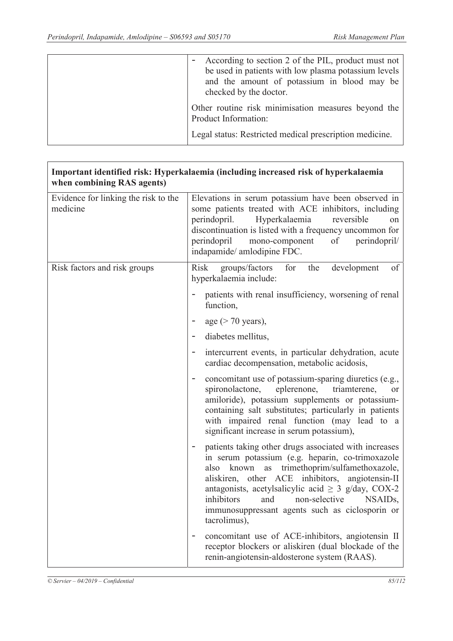$\overline{1}$ 

| According to section 2 of the PIL, product must not<br>be used in patients with low plasma potassium levels<br>and the amount of potassium in blood may be<br>checked by the doctor. |
|--------------------------------------------------------------------------------------------------------------------------------------------------------------------------------------|
| Other routine risk minimisation measures beyond the<br>Product Information:                                                                                                          |
| Legal status: Restricted medical prescription medicine.                                                                                                                              |

| Important identified risk: Hyperkalaemia (including increased risk of hyperkalaemia<br>when combining RAS agents) |                                                                                                                                                                                                                                                                                                                                                                                             |
|-------------------------------------------------------------------------------------------------------------------|---------------------------------------------------------------------------------------------------------------------------------------------------------------------------------------------------------------------------------------------------------------------------------------------------------------------------------------------------------------------------------------------|
| Evidence for linking the risk to the<br>medicine                                                                  | Elevations in serum potassium have been observed in<br>some patients treated with ACE inhibitors, including<br>Hyperkalaemia<br>perindopril.<br>reversible<br>on<br>discontinuation is listed with a frequency uncommon for<br>perindopril<br>mono-component of<br>perindopril/<br>indapamide/ amlodipine FDC.                                                                              |
| Risk factors and risk groups                                                                                      | for the<br>Risk groups/factors<br>development<br>of<br>hyperkalaemia include:                                                                                                                                                                                                                                                                                                               |
|                                                                                                                   | patients with renal insufficiency, worsening of renal<br>function,                                                                                                                                                                                                                                                                                                                          |
|                                                                                                                   | age $($ > 70 years),                                                                                                                                                                                                                                                                                                                                                                        |
|                                                                                                                   | diabetes mellitus,                                                                                                                                                                                                                                                                                                                                                                          |
|                                                                                                                   | intercurrent events, in particular dehydration, acute<br>cardiac decompensation, metabolic acidosis,                                                                                                                                                                                                                                                                                        |
|                                                                                                                   | concomitant use of potassium-sparing diuretics (e.g.,<br>$\overline{\phantom{a}}$<br>spironolactone,<br>eplerenone,<br>triamterene,<br>or<br>amiloride), potassium supplements or potassium-<br>containing salt substitutes; particularly in patients<br>with impaired renal function (may lead to a<br>significant increase in serum potassium),                                           |
|                                                                                                                   | patients taking other drugs associated with increases<br>in serum potassium (e.g. heparin, co-trimoxazole<br>known as trimethoprim/sulfamethoxazole,<br>also<br>aliskiren, other ACE inhibitors, angiotensin-II<br>antagonists, acetylsalicylic acid $\geq$ 3 g/day, COX-2<br>inhibitors<br>and non-selective<br>NSAIDs,<br>immunosuppressant agents such as ciclosporin or<br>tacrolimus), |
|                                                                                                                   | concomitant use of ACE-inhibitors, angiotensin II<br>Ξ<br>receptor blockers or aliskiren (dual blockade of the<br>renin-angiotensin-aldosterone system (RAAS).                                                                                                                                                                                                                              |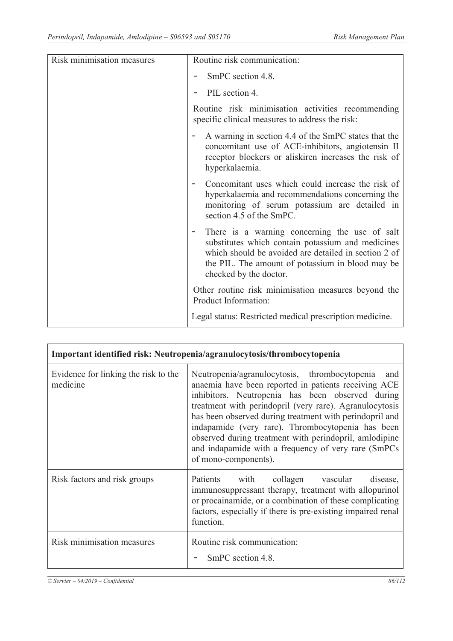| Risk minimisation measures | Routine risk communication:                                                                                                                                                                                                              |
|----------------------------|------------------------------------------------------------------------------------------------------------------------------------------------------------------------------------------------------------------------------------------|
|                            | SmPC section 4.8.                                                                                                                                                                                                                        |
|                            | PIL section 4.                                                                                                                                                                                                                           |
|                            | Routine risk minimisation activities recommending<br>specific clinical measures to address the risk:                                                                                                                                     |
|                            | A warning in section 4.4 of the SmPC states that the<br>concomitant use of ACE-inhibitors, angiotensin II<br>receptor blockers or aliskiren increases the risk of<br>hyperkalaemia.                                                      |
|                            | Concomitant uses which could increase the risk of<br>hyperkalaemia and recommendations concerning the<br>monitoring of serum potassium are detailed in<br>section 4.5 of the SmPC.                                                       |
|                            | There is a warning concerning the use of salt<br>substitutes which contain potassium and medicines<br>which should be avoided are detailed in section 2 of<br>the PIL. The amount of potassium in blood may be<br>checked by the doctor. |
|                            | Other routine risk minimisation measures beyond the<br>Product Information:                                                                                                                                                              |
|                            | Legal status: Restricted medical prescription medicine.                                                                                                                                                                                  |

| Important identified risk: Neutropenia/agranulocytosis/thrombocytopenia |                                                                                                                                                                                                                                                                                                                                                                                                                                                                                      |
|-------------------------------------------------------------------------|--------------------------------------------------------------------------------------------------------------------------------------------------------------------------------------------------------------------------------------------------------------------------------------------------------------------------------------------------------------------------------------------------------------------------------------------------------------------------------------|
| Evidence for linking the risk to the<br>medicine                        | Neutropenia/agranulocytosis, thrombocytopenia<br>and<br>anaemia have been reported in patients receiving ACE<br>inhibitors. Neutropenia has been observed during<br>treatment with perindopril (very rare). Agranulocytosis<br>has been observed during treatment with perindopril and<br>indapamide (very rare). Thrombocytopenia has been<br>observed during treatment with perindopril, amlodipine<br>and indapamide with a frequency of very rare (SmPCs<br>of mono-components). |
| Risk factors and risk groups                                            | with collagen vascular<br>Patients<br>disease,<br>immunosuppressant therapy, treatment with allopurinol<br>or procainamide, or a combination of these complicating<br>factors, especially if there is pre-existing impaired renal<br>function.                                                                                                                                                                                                                                       |
| Risk minimisation measures                                              | Routine risk communication:<br>SmPC section 4.8.                                                                                                                                                                                                                                                                                                                                                                                                                                     |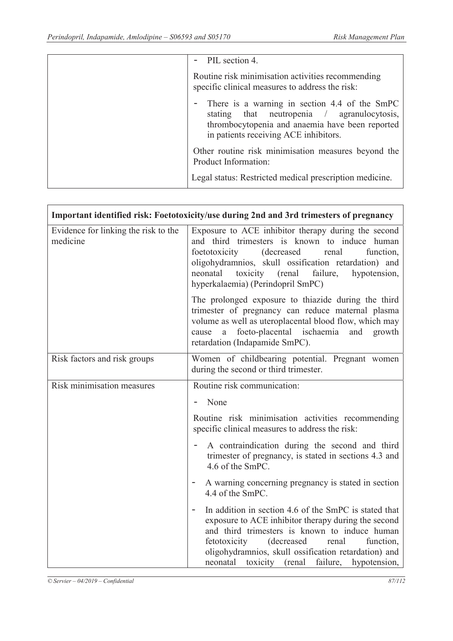| PIL section 4.                                                                                                                                                                           |
|------------------------------------------------------------------------------------------------------------------------------------------------------------------------------------------|
| Routine risk minimisation activities recommending<br>specific clinical measures to address the risk:                                                                                     |
| There is a warning in section 4.4 of the SmPC<br>stating that neutropenia / agranulocytosis,<br>thrombocytopenia and anaemia have been reported<br>in patients receiving ACE inhibitors. |
| Other routine risk minimisation measures beyond the<br>Product Information:                                                                                                              |
| Legal status: Restricted medical prescription medicine.                                                                                                                                  |

|                                                  | Important identified risk: Foetotoxicity/use during 2nd and 3rd trimesters of pregnancy                                                                                                                                                                                                                                                           |  |
|--------------------------------------------------|---------------------------------------------------------------------------------------------------------------------------------------------------------------------------------------------------------------------------------------------------------------------------------------------------------------------------------------------------|--|
| Evidence for linking the risk to the<br>medicine | Exposure to ACE inhibitor therapy during the second<br>and third trimesters is known to induce human<br>(decreased<br>function,<br>foetotoxicity<br>renal<br>oligohydramnios, skull ossification retardation) and<br>toxicity (renal<br>failure,<br>neonatal<br>hypotension,<br>hyperkalaemia) (Perindopril SmPC)                                 |  |
|                                                  | The prolonged exposure to thiazide during the third<br>trimester of pregnancy can reduce maternal plasma<br>volume as well as uteroplacental blood flow, which may<br>foeto-placental ischaemia<br>and<br>growth<br>a<br>cause<br>retardation (Indapamide SmPC).                                                                                  |  |
| Risk factors and risk groups                     | Women of childbearing potential. Pregnant women<br>during the second or third trimester.                                                                                                                                                                                                                                                          |  |
| Risk minimisation measures                       | Routine risk communication:                                                                                                                                                                                                                                                                                                                       |  |
|                                                  | - None                                                                                                                                                                                                                                                                                                                                            |  |
|                                                  | Routine risk minimisation activities recommending<br>specific clinical measures to address the risk:                                                                                                                                                                                                                                              |  |
|                                                  | A contraindication during the second and third<br>trimester of pregnancy, is stated in sections 4.3 and<br>4.6 of the SmPC.                                                                                                                                                                                                                       |  |
|                                                  | A warning concerning pregnancy is stated in section<br>4.4 of the SmPC.                                                                                                                                                                                                                                                                           |  |
|                                                  | In addition in section 4.6 of the SmPC is stated that<br>$\qquad \qquad -$<br>exposure to ACE inhibitor therapy during the second<br>and third trimesters is known to induce human<br>fetotoxicity<br>(decreased)<br>renal<br>function,<br>oligohydramnios, skull ossification retardation) and<br>neonatal toxicity (renal failure, hypotension, |  |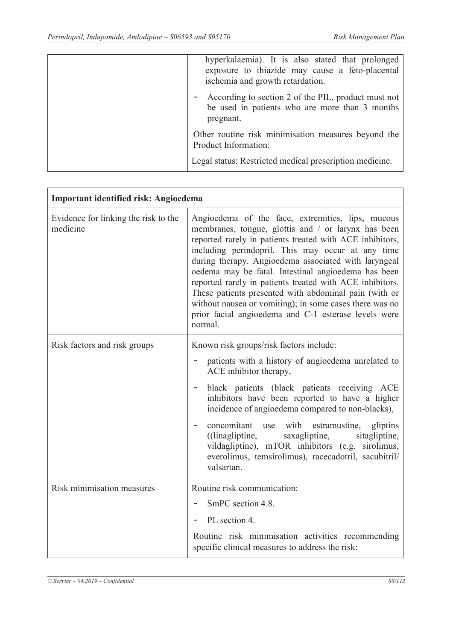$\mathbf{r}$ 

| hyperkalaemia). It is also stated that prolonged<br>exposure to thiazide may cause a feto-placental<br>ischemia and growth retardation. |
|-----------------------------------------------------------------------------------------------------------------------------------------|
| According to section 2 of the PIL, product must not<br>be used in patients who are more than 3 months<br>pregnant.                      |
| Other routine risk minimisation measures beyond the<br>Product Information:                                                             |
| Legal status: Restricted medical prescription medicine.                                                                                 |

| Important identified risk: Angioedema            |                                                                                                                                                                                                                                                                                                                                                                                                                                                                                                                                                                                             |
|--------------------------------------------------|---------------------------------------------------------------------------------------------------------------------------------------------------------------------------------------------------------------------------------------------------------------------------------------------------------------------------------------------------------------------------------------------------------------------------------------------------------------------------------------------------------------------------------------------------------------------------------------------|
| Evidence for linking the risk to the<br>medicine | Angioedema of the face, extremities, lips, mucous<br>membranes, tongue, glottis and / or larynx has been<br>reported rarely in patients treated with ACE inhibitors,<br>including perindopril. This may occur at any time<br>during therapy. Angioedema associated with laryngeal<br>oedema may be fatal. Intestinal angioedema has been<br>reported rarely in patients treated with ACE inhibitors.<br>These patients presented with abdominal pain (with or<br>without nausea or vomiting); in some cases there was no<br>prior facial angioedema and C-1 esterase levels were<br>normal. |
| Risk factors and risk groups                     | Known risk groups/risk factors include:<br>patients with a history of angioedema unrelated to<br>ACE inhibitor therapy,<br>black patients (black patients receiving ACE<br>inhibitors have been reported to have a higher<br>incidence of angioedema compared to non-blacks),<br>concomitant use<br>with estramustine, gliptins<br>((linagliptine,<br>saxagliptine, sitagliptine,<br>vildagliptine), mTOR inhibitors (e.g. sirolimus,<br>everolimus, temsirolimus), racecadotril, sacubitril/<br>valsartan.                                                                                 |
| Risk minimisation measures                       | Routine risk communication:<br>SmPC section 4.8.<br>PL section 4.<br>Routine risk minimisation activities recommending<br>specific clinical measures to address the risk:                                                                                                                                                                                                                                                                                                                                                                                                                   |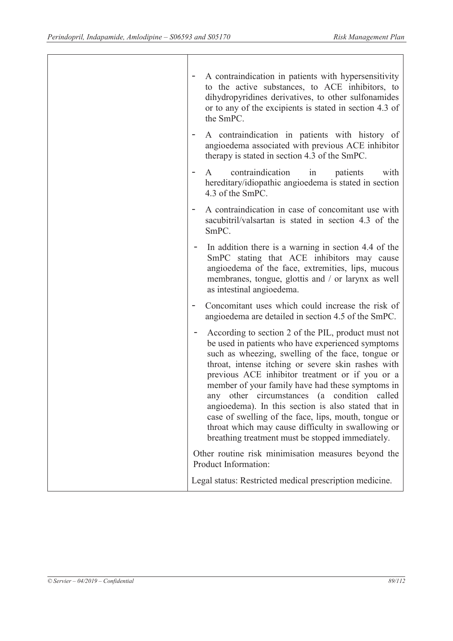| A contraindication in patients with hypersensitivity<br>to the active substances, to ACE inhibitors, to<br>dihydropyridines derivatives, to other sulfonamides<br>or to any of the excipients is stated in section 4.3 of<br>the SmPC.                                                                                                                                                                                                                                                                                                                                                                |
|-------------------------------------------------------------------------------------------------------------------------------------------------------------------------------------------------------------------------------------------------------------------------------------------------------------------------------------------------------------------------------------------------------------------------------------------------------------------------------------------------------------------------------------------------------------------------------------------------------|
| A contraindication in patients with history of<br>angioedema associated with previous ACE inhibitor<br>therapy is stated in section 4.3 of the SmPC.                                                                                                                                                                                                                                                                                                                                                                                                                                                  |
| contraindication<br>patients<br>with<br>in<br>A<br>hereditary/idiopathic angioedema is stated in section<br>4.3 of the SmPC.                                                                                                                                                                                                                                                                                                                                                                                                                                                                          |
| A contraindication in case of concomitant use with<br>sacubitril/valsartan is stated in section 4.3 of the<br>SmPC.                                                                                                                                                                                                                                                                                                                                                                                                                                                                                   |
| In addition there is a warning in section 4.4 of the<br>SmPC stating that ACE inhibitors may cause<br>angioedema of the face, extremities, lips, mucous<br>membranes, tongue, glottis and / or larynx as well<br>as intestinal angioedema.                                                                                                                                                                                                                                                                                                                                                            |
| Concomitant uses which could increase the risk of<br>angioedema are detailed in section 4.5 of the SmPC.                                                                                                                                                                                                                                                                                                                                                                                                                                                                                              |
| According to section 2 of the PIL, product must not<br>be used in patients who have experienced symptoms<br>such as wheezing, swelling of the face, tongue or<br>throat, intense itching or severe skin rashes with<br>previous ACE inhibitor treatment or if you or a<br>member of your family have had these symptoms in<br>called<br>any other circumstances (a condition<br>angioedema). In this section is also stated that in<br>case of swelling of the face, lips, mouth, tongue or<br>throat which may cause difficulty in swallowing or<br>breathing treatment must be stopped immediately. |
| Other routine risk minimisation measures beyond the<br>Product Information:                                                                                                                                                                                                                                                                                                                                                                                                                                                                                                                           |
| Legal status: Restricted medical prescription medicine.                                                                                                                                                                                                                                                                                                                                                                                                                                                                                                                                               |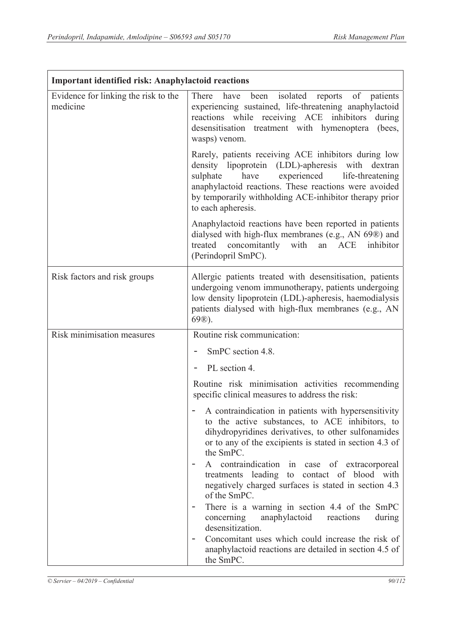| <b>Important identified risk: Anaphylactoid reactions</b> |                                                                                                                                                                                                                                                                                                                |
|-----------------------------------------------------------|----------------------------------------------------------------------------------------------------------------------------------------------------------------------------------------------------------------------------------------------------------------------------------------------------------------|
| Evidence for linking the risk to the<br>medicine          | There have been isolated reports of patients<br>experiencing sustained, life-threatening anaphylactoid<br>reactions while receiving ACE inhibitors<br>during<br>desensitisation treatment with hymenoptera<br>(bees,<br>wasps) venom.                                                                          |
|                                                           | Rarely, patients receiving ACE inhibitors during low<br>lipoprotein (LDL)-apheresis with<br>density<br>dextran<br>sulphate<br>have<br>experienced<br>life-threatening<br>anaphylactoid reactions. These reactions were avoided<br>by temporarily withholding ACE-inhibitor therapy prior<br>to each apheresis. |
|                                                           | Anaphylactoid reactions have been reported in patients<br>dialysed with high-flux membranes (e.g., AN 69®) and<br>treated concomitantly with<br>an ACE inhibitor<br>(Perindopril SmPC).                                                                                                                        |
| Risk factors and risk groups                              | Allergic patients treated with desensitisation, patients<br>undergoing venom immunotherapy, patients undergoing<br>low density lipoprotein (LDL)-apheresis, haemodialysis<br>patients dialysed with high-flux membranes (e.g., AN<br>$69$ <sup>®</sup> ).                                                      |
| Risk minimisation measures                                | Routine risk communication:                                                                                                                                                                                                                                                                                    |
|                                                           | SmPC section 4.8.                                                                                                                                                                                                                                                                                              |
|                                                           | PL section 4.                                                                                                                                                                                                                                                                                                  |
|                                                           | Routine risk minimisation activities recommending<br>specific clinical measures to address the risk:                                                                                                                                                                                                           |
|                                                           | A contraindication in patients with hypersensitivity<br>to the active substances, to ACE inhibitors, to<br>dihydropyridines derivatives, to other sulfonamides<br>or to any of the excipients is stated in section 4.3 of<br>the SmPC.                                                                         |
|                                                           | A contraindication in case of extracorporeal<br>treatments leading to contact of blood with<br>negatively charged surfaces is stated in section 4.3<br>of the SmPC.                                                                                                                                            |
|                                                           | There is a warning in section 4.4 of the SmPC<br>anaphylactoid<br>concerning<br>reactions<br>during<br>desensitization.                                                                                                                                                                                        |
|                                                           | Concomitant uses which could increase the risk of<br>anaphylactoid reactions are detailed in section 4.5 of<br>the SmPC.                                                                                                                                                                                       |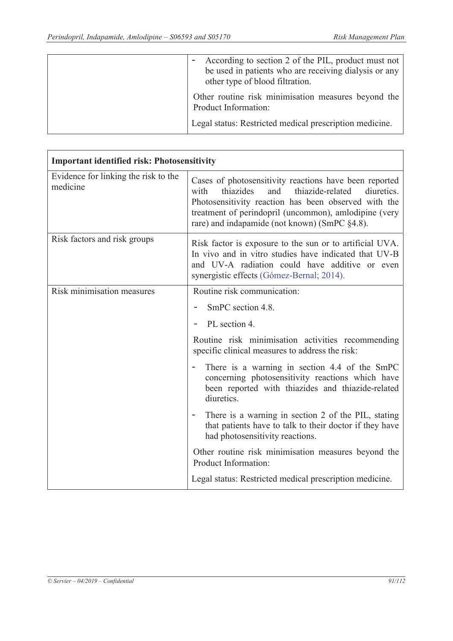| According to section 2 of the PIL, product must not<br>be used in patients who are receiving dialysis or any<br>other type of blood filtration. |
|-------------------------------------------------------------------------------------------------------------------------------------------------|
| Other routine risk minimisation measures beyond the<br>Product Information:                                                                     |
| Legal status: Restricted medical prescription medicine.                                                                                         |

| <b>Important identified risk: Photosensitivity</b> |                                                                                                                                                                                                                                                                                        |
|----------------------------------------------------|----------------------------------------------------------------------------------------------------------------------------------------------------------------------------------------------------------------------------------------------------------------------------------------|
| Evidence for linking the risk to the<br>medicine   | Cases of photosensitivity reactions have been reported<br>thiazide-related<br>thiazides<br>and<br>diuretics.<br>with<br>Photosensitivity reaction has been observed with the<br>treatment of perindopril (uncommon), amlodipine (very<br>rare) and indapamide (not known) (SmPC §4.8). |
| Risk factors and risk groups                       | Risk factor is exposure to the sun or to artificial UVA.<br>In vivo and in vitro studies have indicated that UV-B<br>and UV-A radiation could have additive or even<br>synergistic effects (Gómez-Bernal; 2014).                                                                       |
| Risk minimisation measures                         | Routine risk communication:                                                                                                                                                                                                                                                            |
|                                                    | SmPC section 4.8.                                                                                                                                                                                                                                                                      |
|                                                    | PL section 4.                                                                                                                                                                                                                                                                          |
|                                                    | Routine risk minimisation activities recommending<br>specific clinical measures to address the risk:                                                                                                                                                                                   |
|                                                    | There is a warning in section 4.4 of the SmPC<br>concerning photosensitivity reactions which have<br>been reported with thiazides and thiazide-related<br>diuretics.                                                                                                                   |
|                                                    | There is a warning in section 2 of the PIL, stating<br>$\overline{\phantom{a}}$<br>that patients have to talk to their doctor if they have<br>had photosensitivity reactions.                                                                                                          |
|                                                    | Other routine risk minimisation measures beyond the<br>Product Information:                                                                                                                                                                                                            |
|                                                    | Legal status: Restricted medical prescription medicine.                                                                                                                                                                                                                                |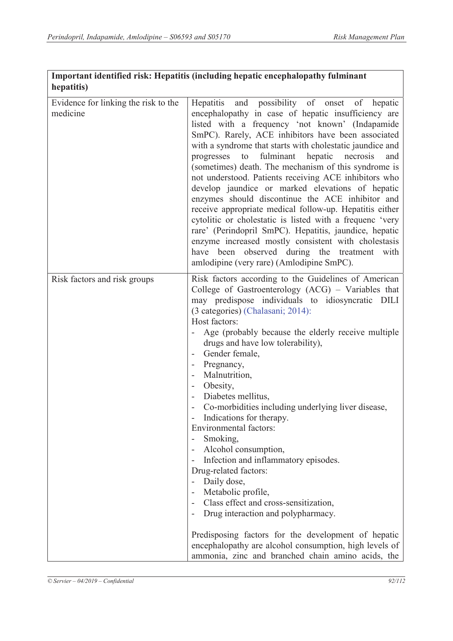| Important identified risk: Hepatitis (including hepatic encephalopathy fulminant |  |
|----------------------------------------------------------------------------------|--|
| hepatitis)                                                                       |  |

| Evidence for linking the risk to the | Hepatitis and possibility of onset of hepatic             |
|--------------------------------------|-----------------------------------------------------------|
| medicine                             |                                                           |
|                                      | encephalopathy in case of hepatic insufficiency are       |
|                                      | listed with a frequency 'not known' (Indapamide           |
|                                      | SmPC). Rarely, ACE inhibitors have been associated        |
|                                      | with a syndrome that starts with cholestatic jaundice and |
|                                      | fulminant<br>hepatic necrosis<br>progresses<br>to<br>and  |
|                                      | (sometimes) death. The mechanism of this syndrome is      |
|                                      | not understood. Patients receiving ACE inhibitors who     |
|                                      | develop jaundice or marked elevations of hepatic          |
|                                      | enzymes should discontinue the ACE inhibitor and          |
|                                      | receive appropriate medical follow-up. Hepatitis either   |
|                                      | cytolitic or cholestatic is listed with a frequenc 'very  |
|                                      | rare' (Perindopril SmPC). Hepatitis, jaundice, hepatic    |
|                                      | enzyme increased mostly consistent with cholestasis       |
|                                      | have been observed during the treatment with              |
|                                      | amlodipine (very rare) (Amlodipine SmPC).                 |
| Risk factors and risk groups         | Risk factors according to the Guidelines of American      |
|                                      | College of Gastroenterology (ACG) - Variables that        |
|                                      | may predispose individuals to idiosyncratic DILI          |
|                                      | (3 categories) (Chalasani; 2014):                         |
|                                      | Host factors:                                             |
|                                      | Age (probably because the elderly receive multiple        |
|                                      | drugs and have low tolerability),                         |
|                                      | Gender female,                                            |
|                                      | Pregnancy,                                                |
|                                      | Malnutrition,                                             |
|                                      | Obesity,                                                  |
|                                      | Diabetes mellitus,                                        |
|                                      | Co-morbidities including underlying liver disease,        |
|                                      | Indications for therapy.                                  |
|                                      | Environmental factors:                                    |
|                                      | Smoking,                                                  |
|                                      | Alcohol consumption,                                      |
|                                      | Infection and inflammatory episodes.                      |
|                                      | Drug-related factors:                                     |
|                                      | Daily dose,                                               |
|                                      | Metabolic profile,                                        |
|                                      | Class effect and cross-sensitization,                     |
|                                      | Drug interaction and polypharmacy.                        |
|                                      |                                                           |
|                                      | Predisposing factors for the development of hepatic       |
|                                      | encephalopathy are alcohol consumption, high levels of    |
|                                      | ammonia, zinc and branched chain amino acids, the         |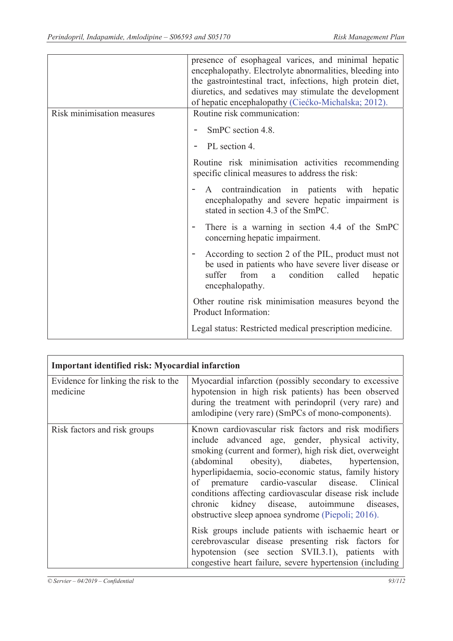|                            | presence of esophageal varices, and minimal hepatic<br>encephalopathy. Electrolyte abnormalities, bleeding into<br>the gastrointestinal tract, infections, high protein diet,<br>diuretics, and sedatives may stimulate the development<br>of hepatic encephalopathy (Ciećko-Michalska; 2012). |
|----------------------------|------------------------------------------------------------------------------------------------------------------------------------------------------------------------------------------------------------------------------------------------------------------------------------------------|
| Risk minimisation measures | Routine risk communication:                                                                                                                                                                                                                                                                    |
|                            | SmPC section 4.8.                                                                                                                                                                                                                                                                              |
|                            | PL section 4.                                                                                                                                                                                                                                                                                  |
|                            | Routine risk minimisation activities recommending<br>specific clinical measures to address the risk:                                                                                                                                                                                           |
|                            | A contraindication in patients with hepatic<br>encephalopathy and severe hepatic impairment is<br>stated in section 4.3 of the SmPC.                                                                                                                                                           |
|                            | There is a warning in section 4.4 of the SmPC<br>concerning hepatic impairment.                                                                                                                                                                                                                |
|                            | According to section 2 of the PIL, product must not<br>be used in patients who have severe liver disease or<br>suffer<br>condition<br>from<br>called<br>hepatic<br>a<br>encephalopathy.                                                                                                        |
|                            | Other routine risk minimisation measures beyond the<br>Product Information:                                                                                                                                                                                                                    |
|                            | Legal status: Restricted medical prescription medicine.                                                                                                                                                                                                                                        |

| <b>Important identified risk: Myocardial infarction</b> |                                                                                                                                                                                                                                                                                                                                                                                                                                                                                                                                                                                                                                                                                                                                       |
|---------------------------------------------------------|---------------------------------------------------------------------------------------------------------------------------------------------------------------------------------------------------------------------------------------------------------------------------------------------------------------------------------------------------------------------------------------------------------------------------------------------------------------------------------------------------------------------------------------------------------------------------------------------------------------------------------------------------------------------------------------------------------------------------------------|
| Evidence for linking the risk to the<br>medicine        | Myocardial infarction (possibly secondary to excessive<br>hypotension in high risk patients) has been observed<br>during the treatment with perindopril (very rare) and<br>amlodipine (very rare) (SmPCs of mono-components).                                                                                                                                                                                                                                                                                                                                                                                                                                                                                                         |
| Risk factors and risk groups                            | Known cardiovascular risk factors and risk modifiers<br>include advanced age, gender, physical activity,<br>smoking (current and former), high risk diet, overweight<br>(abdominal obesity), diabetes, hypertension,<br>hyperlipidaemia, socio-economic status, family history<br>premature cardio-vascular disease. Clinical<br>of<br>conditions affecting cardiovascular disease risk include<br>chronic kidney disease, autoimmune diseases,<br>obstructive sleep apnoea syndrome (Piepoli; 2016).<br>Risk groups include patients with ischaemic heart or<br>cerebrovascular disease presenting risk factors for<br>hypotension (see section SVII.3.1), patients with<br>congestive heart failure, severe hypertension (including |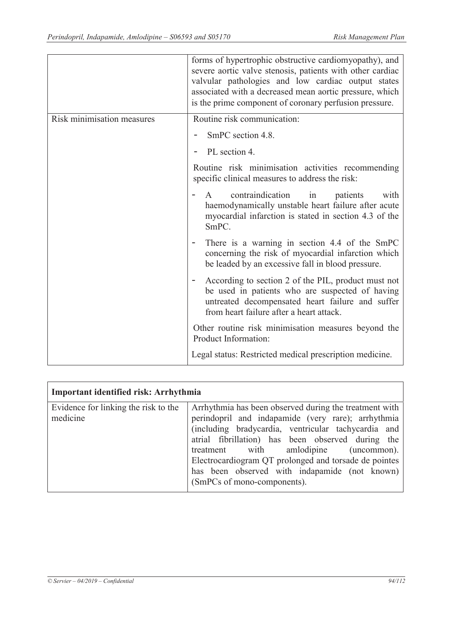|                            | forms of hypertrophic obstructive cardiomyopathy), and<br>severe aortic valve stenosis, patients with other cardiac<br>valvular pathologies and low cardiac output states<br>associated with a decreased mean aortic pressure, which<br>is the prime component of coronary perfusion pressure. |
|----------------------------|------------------------------------------------------------------------------------------------------------------------------------------------------------------------------------------------------------------------------------------------------------------------------------------------|
| Risk minimisation measures | Routine risk communication:                                                                                                                                                                                                                                                                    |
|                            | SmPC section 4.8.                                                                                                                                                                                                                                                                              |
|                            | PL section 4.                                                                                                                                                                                                                                                                                  |
|                            | Routine risk minimisation activities recommending<br>specific clinical measures to address the risk:                                                                                                                                                                                           |
|                            | contraindication<br>in<br>patients<br>with<br>$\mathsf{A}$<br>haemodynamically unstable heart failure after acute<br>myocardial infarction is stated in section 4.3 of the<br>SmPC.                                                                                                            |
|                            | There is a warning in section 4.4 of the SmPC<br>concerning the risk of myocardial infarction which<br>be leaded by an excessive fall in blood pressure.                                                                                                                                       |
|                            | According to section 2 of the PIL, product must not<br>be used in patients who are suspected of having<br>untreated decompensated heart failure and suffer<br>from heart failure after a heart attack.                                                                                         |
|                            | Other routine risk minimisation measures beyond the<br>Product Information:                                                                                                                                                                                                                    |
|                            | Legal status: Restricted medical prescription medicine.                                                                                                                                                                                                                                        |

| Important identified risk: Arrhythmia            |                                                                                                                                                                                                                                                                                                                                                                                                            |
|--------------------------------------------------|------------------------------------------------------------------------------------------------------------------------------------------------------------------------------------------------------------------------------------------------------------------------------------------------------------------------------------------------------------------------------------------------------------|
| Evidence for linking the risk to the<br>medicine | Arrhythmia has been observed during the treatment with<br>perindopril and indapamide (very rare); arrhythmia<br>(including bradycardia, ventricular tachycardia and<br>atrial fibrillation) has been observed during the<br>treatment with amlodipine (uncommon).<br>Electrocardiogram QT prolonged and torsade de pointes<br>has been observed with indapamide (not known)<br>(SmPCs of mono-components). |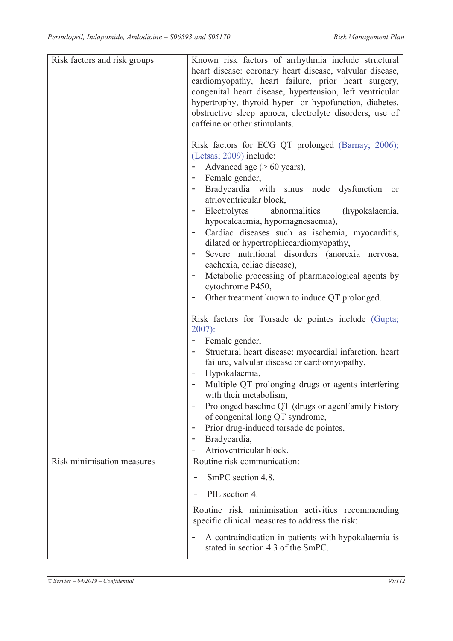| Risk factors and risk groups | Known risk factors of arrhythmia include structural<br>heart disease: coronary heart disease, valvular disease,<br>cardiomyopathy, heart failure, prior heart surgery,<br>congenital heart disease, hypertension, left ventricular<br>hypertrophy, thyroid hyper- or hypofunction, diabetes,<br>obstructive sleep apnoea, electrolyte disorders, use of<br>caffeine or other stimulants.<br>Risk factors for ECG QT prolonged (Barnay; 2006);<br>(Letsas; 2009) include:<br>Advanced age $($ > 60 years),<br>- Female gender,      |
|------------------------------|------------------------------------------------------------------------------------------------------------------------------------------------------------------------------------------------------------------------------------------------------------------------------------------------------------------------------------------------------------------------------------------------------------------------------------------------------------------------------------------------------------------------------------|
|                              | Bradycardia with sinus node dysfunction<br><sub>or</sub><br>atrioventricular block,<br>Electrolytes<br>abnormalities (hypokalaemia,<br>hypocalcaemia, hypomagnesaemia),<br>Cardiac diseases such as ischemia, myocarditis,<br>dilated or hypertrophiccardiomyopathy,<br>Severe nutritional disorders (anorexia nervosa,<br>cachexia, celiac disease),<br>Metabolic processing of pharmacological agents by<br>cytochrome P450,<br>Other treatment known to induce QT prolonged.                                                    |
|                              | Risk factors for Torsade de pointes include (Gupta;<br>$2007$ :<br>Female gender,<br>Structural heart disease: myocardial infarction, heart<br>failure, valvular disease or cardiomyopathy,<br>Hypokalaemia,<br>Multiple QT prolonging drugs or agents interfering<br>with their metabolism,<br>Prolonged baseline QT (drugs or agenFamily history<br>$\overline{\phantom{a}}$<br>of congenital long QT syndrome,<br>Prior drug-induced torsade de pointes,<br>Bradycardia,<br>$\overline{\phantom{a}}$<br>Atrioventricular block. |
| Risk minimisation measures   | Routine risk communication:<br>SmPC section 4.8.<br>PIL section 4.<br>Routine risk minimisation activities recommending<br>specific clinical measures to address the risk:<br>A contraindication in patients with hypokalaemia is                                                                                                                                                                                                                                                                                                  |
|                              | stated in section 4.3 of the SmPC.                                                                                                                                                                                                                                                                                                                                                                                                                                                                                                 |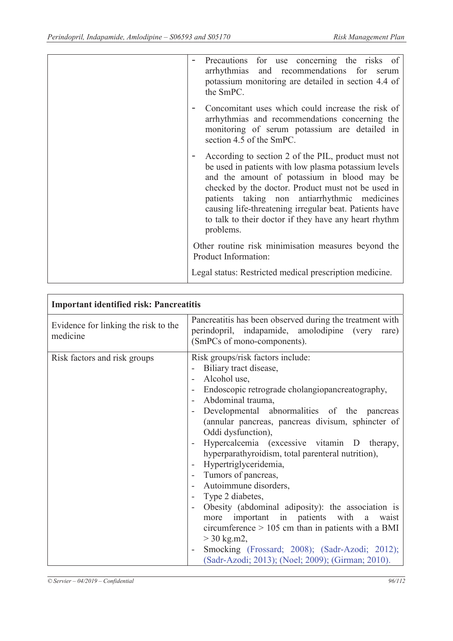| Precautions for use concerning the risks of<br>arrhythmias and recommendations for<br>serum<br>potassium monitoring are detailed in section 4.4 of<br>the SmPC.                                                                                                                                                                                                                                  |
|--------------------------------------------------------------------------------------------------------------------------------------------------------------------------------------------------------------------------------------------------------------------------------------------------------------------------------------------------------------------------------------------------|
| Concomitant uses which could increase the risk of<br>arrhythmias and recommendations concerning the<br>monitoring of serum potassium are detailed in<br>section 4.5 of the SmPC.                                                                                                                                                                                                                 |
| According to section 2 of the PIL, product must not<br>be used in patients with low plasma potassium levels<br>and the amount of potassium in blood may be<br>checked by the doctor. Product must not be used in<br>patients taking non antiarrhythmic medicines<br>causing life-threatening irregular beat. Patients have<br>to talk to their doctor if they have any heart rhythm<br>problems. |
| Other routine risk minimisation measures beyond the<br>Product Information:                                                                                                                                                                                                                                                                                                                      |
| Legal status: Restricted medical prescription medicine.                                                                                                                                                                                                                                                                                                                                          |

| <b>Important identified risk: Pancreatitis</b>   |                                                                                                                                                                                                                                                                                                                                                                                                                                                                                                                                                                                                                                                                                                                                                                                                                 |
|--------------------------------------------------|-----------------------------------------------------------------------------------------------------------------------------------------------------------------------------------------------------------------------------------------------------------------------------------------------------------------------------------------------------------------------------------------------------------------------------------------------------------------------------------------------------------------------------------------------------------------------------------------------------------------------------------------------------------------------------------------------------------------------------------------------------------------------------------------------------------------|
| Evidence for linking the risk to the<br>medicine | Pancreatitis has been observed during the treatment with<br>perindopril, indapamide, amolodipine (very<br>rare)<br>(SmPCs of mono-components).                                                                                                                                                                                                                                                                                                                                                                                                                                                                                                                                                                                                                                                                  |
| Risk factors and risk groups                     | Risk groups/risk factors include:<br>Biliary tract disease,<br>Alcohol use,<br>Endoscopic retrograde cholangiopancreatography,<br>Abdominal trauma,<br>Developmental abnormalities of the pancreas<br>(annular pancreas, pancreas divisum, sphincter of<br>Oddi dysfunction),<br>Hypercalcemia (excessive vitamin D therapy,<br>$\overline{\phantom{a}}$<br>hyperparathyroidism, total parenteral nutrition),<br>Hypertriglyceridemia,<br>Tumors of pancreas,<br>Autoimmune disorders,<br>Type 2 diabetes,<br>Obesity (abdominal adiposity): the association is<br>$\blacksquare$<br>more important in patients with a<br>waist<br>circumference $> 105$ cm than in patients with a BMI<br>$>$ 30 kg.m2,<br>Smocking (Frossard; 2008); (Sadr-Azodi; 2012);<br>(Sadr-Azodi; 2013); (Noel; 2009); (Girman; 2010). |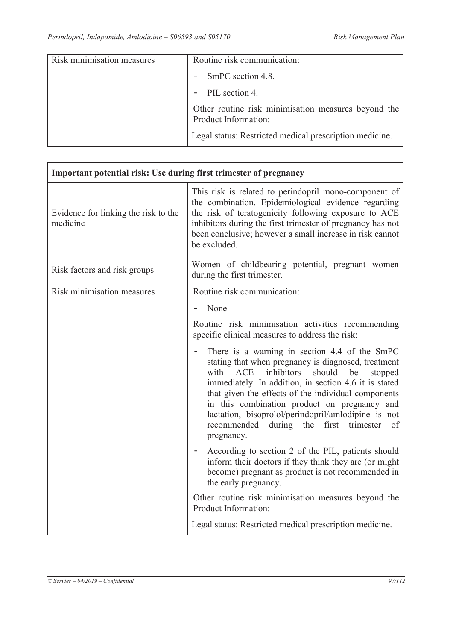ï

| Risk minimisation measures | Routine risk communication:                                                 |
|----------------------------|-----------------------------------------------------------------------------|
|                            | - SmPC section 4.8.                                                         |
|                            | - PIL section 4.                                                            |
|                            | Other routine risk minimisation measures beyond the<br>Product Information: |
|                            | Legal status: Restricted medical prescription medicine.                     |

| Important potential risk: Use during first trimester of pregnancy |                                                                                                                                                                                                                                                                                                                                                                                                                                                   |
|-------------------------------------------------------------------|---------------------------------------------------------------------------------------------------------------------------------------------------------------------------------------------------------------------------------------------------------------------------------------------------------------------------------------------------------------------------------------------------------------------------------------------------|
| Evidence for linking the risk to the<br>medicine                  | This risk is related to perindopril mono-component of<br>the combination. Epidemiological evidence regarding<br>the risk of teratogenicity following exposure to ACE<br>inhibitors during the first trimester of pregnancy has not<br>been conclusive; however a small increase in risk cannot<br>be excluded.                                                                                                                                    |
| Risk factors and risk groups                                      | Women of childbearing potential, pregnant women<br>during the first trimester.                                                                                                                                                                                                                                                                                                                                                                    |
| Risk minimisation measures                                        | Routine risk communication:                                                                                                                                                                                                                                                                                                                                                                                                                       |
|                                                                   | None<br>$\overline{\phantom{a}}$                                                                                                                                                                                                                                                                                                                                                                                                                  |
|                                                                   | Routine risk minimisation activities recommending<br>specific clinical measures to address the risk:                                                                                                                                                                                                                                                                                                                                              |
|                                                                   | There is a warning in section 4.4 of the SmPC<br>stating that when pregnancy is diagnosed, treatment<br>ACE<br>inhibitors<br>with<br>should<br>be<br>stopped<br>immediately. In addition, in section 4.6 it is stated<br>that given the effects of the individual components<br>in this combination product on pregnancy and<br>lactation, bisoprolol/perindopril/amlodipine is not<br>recommended during the first trimester<br>of<br>pregnancy. |
|                                                                   | According to section 2 of the PIL, patients should<br>inform their doctors if they think they are (or might<br>become) pregnant as product is not recommended in<br>the early pregnancy.                                                                                                                                                                                                                                                          |
|                                                                   | Other routine risk minimisation measures beyond the<br>Product Information:                                                                                                                                                                                                                                                                                                                                                                       |
|                                                                   | Legal status: Restricted medical prescription medicine.                                                                                                                                                                                                                                                                                                                                                                                           |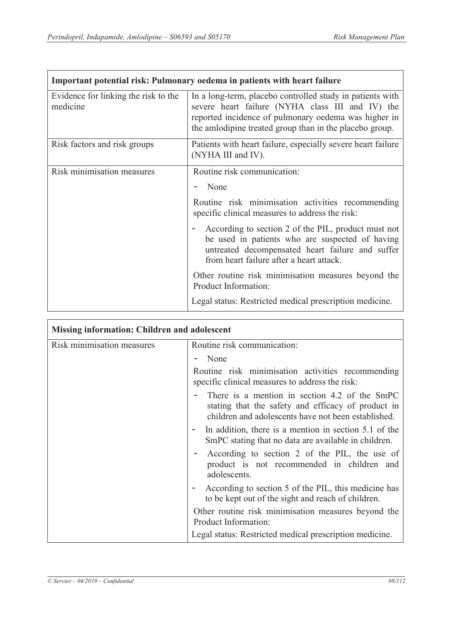$\Gamma$ 

٦

| Important potential risk: Pulmonary oedema in patients with heart failure |                                                                                                                                                                                                                                  |
|---------------------------------------------------------------------------|----------------------------------------------------------------------------------------------------------------------------------------------------------------------------------------------------------------------------------|
| Evidence for linking the risk to the<br>medicine                          | In a long-term, placebo controlled study in patients with<br>severe heart failure (NYHA class III and IV) the<br>reported incidence of pulmonary oedema was higher in<br>the amlodipine treated group than in the placebo group. |
| Risk factors and risk groups                                              | Patients with heart failure, especially severe heart failure<br>(NYHA III and IV).                                                                                                                                               |
| Risk minimisation measures                                                | Routine risk communication:                                                                                                                                                                                                      |
|                                                                           | None                                                                                                                                                                                                                             |
|                                                                           | Routine risk minimisation activities recommending<br>specific clinical measures to address the risk:                                                                                                                             |
|                                                                           | According to section 2 of the PIL, product must not<br>be used in patients who are suspected of having<br>untreated decompensated heart failure and suffer<br>from heart failure after a heart attack.                           |
|                                                                           | Other routine risk minimisation measures beyond the<br>Product Information:                                                                                                                                                      |
|                                                                           | Legal status: Restricted medical prescription medicine.                                                                                                                                                                          |

| <b>Missing information: Children and adolescent</b> |                                                                                                                                                            |
|-----------------------------------------------------|------------------------------------------------------------------------------------------------------------------------------------------------------------|
| Risk minimisation measures                          | Routine risk communication:                                                                                                                                |
|                                                     | None                                                                                                                                                       |
|                                                     | Routine risk minimisation activities recommending<br>specific clinical measures to address the risk:                                                       |
|                                                     | There is a mention in section 4.2 of the SmPC<br>stating that the safety and efficacy of product in<br>children and adolescents have not been established. |
|                                                     | In addition, there is a mention in section 5.1 of the<br>SmPC stating that no data are available in children.                                              |
|                                                     | According to section 2 of the PIL, the use of<br>product is not recommended in children and<br>adolescents.                                                |
|                                                     | According to section 5 of the PIL, this medicine has<br>to be kept out of the sight and reach of children.                                                 |
|                                                     | Other routine risk minimisation measures beyond the<br>Product Information:                                                                                |
|                                                     | Legal status: Restricted medical prescription medicine.                                                                                                    |